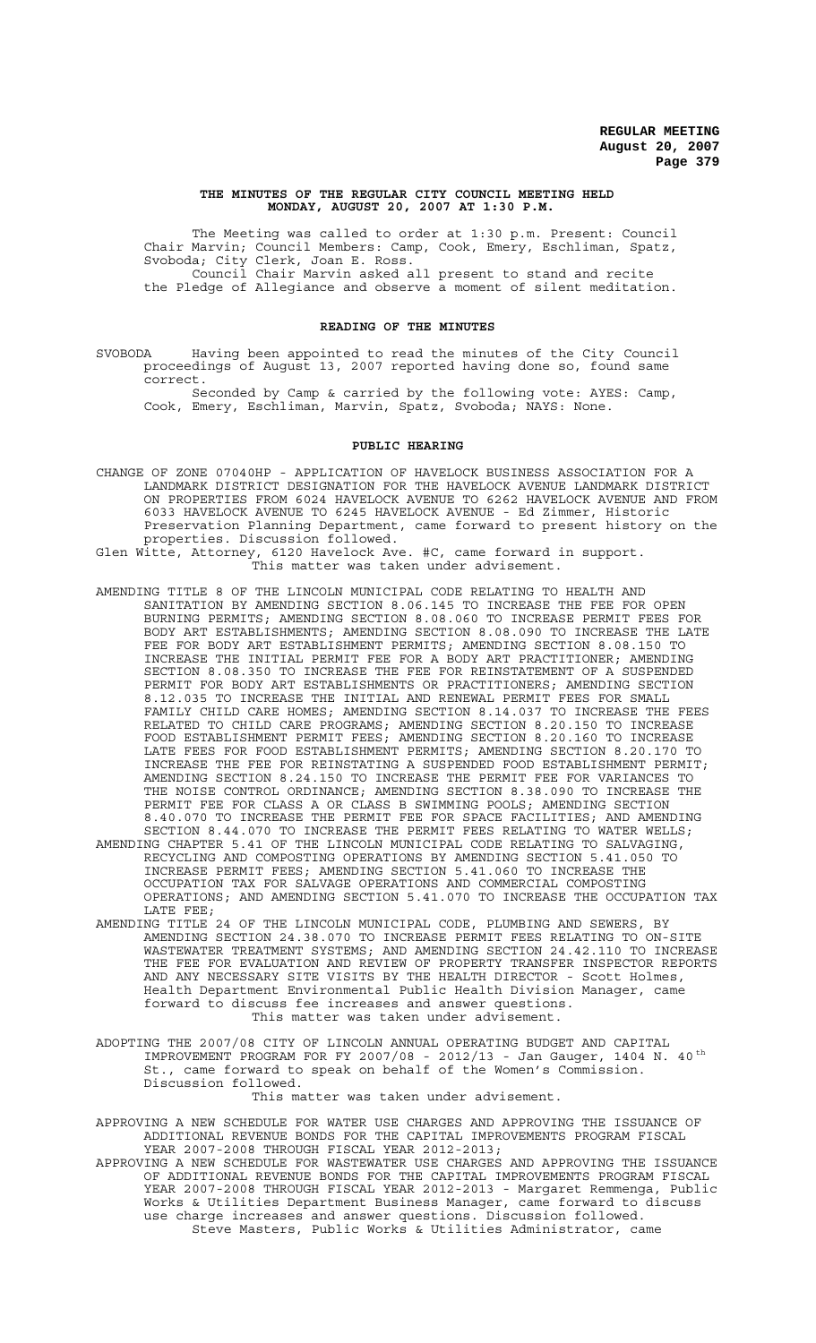#### **THE MINUTES OF THE REGULAR CITY COUNCIL MEETING HELD MONDAY, AUGUST 20, 2007 AT 1:30 P.M.**

The Meeting was called to order at 1:30 p.m. Present: Council Chair Marvin; Council Members: Camp, Cook, Emery, Eschliman, Spatz, Svoboda; City Clerk, Joan E. Ross. Council Chair Marvin asked all present to stand and recite the Pledge of Allegiance and observe a moment of silent meditation.

#### **READING OF THE MINUTES**

SVOBODA Having been appointed to read the minutes of the City Council proceedings of August 13, 2007 reported having done so, found same correct.

Seconded by Camp & carried by the following vote: AYES: Camp, Cook, Emery, Eschliman, Marvin, Spatz, Svoboda; NAYS: None.

#### **PUBLIC HEARING**

- CHANGE OF ZONE 07040HP APPLICATION OF HAVELOCK BUSINESS ASSOCIATION FOR A LANDMARK DISTRICT DESIGNATION FOR THE HAVELOCK AVENUE LANDMARK DISTRICT ON PROPERTIES FROM 6024 HAVELOCK AVENUE TO 6262 HAVELOCK AVENUE AND FROM 6033 HAVELOCK AVENUE TO 6245 HAVELOCK AVENUE - Ed Zimmer, Historic Preservation Planning Department, came forward to present history on the properties. Discussion followed.
- Glen Witte, Attorney, 6120 Havelock Ave. #C, came forward in support. This matter was taken under advisement.
- AMENDING TITLE 8 OF THE LINCOLN MUNICIPAL CODE RELATING TO HEALTH AND SANITATION BY AMENDING SECTION 8.06.145 TO INCREASE THE FEE FOR OPEN BURNING PERMITS; AMENDING SECTION 8.08.060 TO INCREASE PERMIT FEES FOR BODY ART ESTABLISHMENTS; AMENDING SECTION 8.08.090 TO INCREASE THE LATE FEE FOR BODY ART ESTABLISHMENT PERMITS; AMENDING SECTION 8.08.150 TO INCREASE THE INITIAL PERMIT FEE FOR A BODY ART PRACTITIONER; AMENDING SECTION 8.08.350 TO INCREASE THE FEE FOR REINSTATEMENT OF A SUSPENDED PERMIT FOR BODY ART ESTABLISHMENTS OR PRACTITIONERS; AMENDING SECTION 8.12.035 TO INCREASE THE INITIAL AND RENEWAL PERMIT FEES FOR SMALL FAMILY CHILD CARE HOMES; AMENDING SECTION 8.14.037 TO INCREASE THE FEES RELATED TO CHILD CARE PROGRAMS; AMENDING SECTION 8.20.150 TO INCREASE FOOD ESTABLISHMENT PERMIT FEES; AMENDING SECTION 8.20.160 TO INCREASE LATE FEES FOR FOOD ESTABLISHMENT PERMITS; AMENDING SECTION 8.20.170 TO INCREASE THE FEE FOR REINSTATING A SUSPENDED FOOD ESTABLISHMENT PERMIT; AMENDING SECTION 8.24.150 TO INCREASE THE PERMIT FEE FOR VARIANCES TO THE NOISE CONTROL ORDINANCE; AMENDING SECTION 8.38.090 TO INCREASE THE PERMIT FEE FOR CLASS A OR CLASS B SWIMMING POOLS; AMENDING SECTION 8.40.070 TO INCREASE THE PERMIT FEE FOR SPACE FACILITIES; AND AMENDING SECTION 8.44.070 TO INCREASE THE PERMIT FEES RELATING TO WATER WELLS;
- AMENDING CHAPTER 5.41 OF THE LINCOLN MUNICIPAL CODE RELATING TO SALVAGING, RECYCLING AND COMPOSTING OPERATIONS BY AMENDING SECTION 5.41.050 TO INCREASE PERMIT FEES; AMENDING SECTION 5.41.060 TO INCREASE THE OCCUPATION TAX FOR SALVAGE OPERATIONS AND COMMERCIAL COMPOSTING OPERATIONS; AND AMENDING SECTION 5.41.070 TO INCREASE THE OCCUPATION TAX LATE FEE;
- AMENDING TITLE 24 OF THE LINCOLN MUNICIPAL CODE, PLUMBING AND SEWERS, BY AMENDING SECTION 24.38.070 TO INCREASE PERMIT FEES RELATING TO ON-SITE WASTEWATER TREATMENT SYSTEMS; AND AMENDING SECTION 24.42.110 TO INCREASE THE FEE FOR EVALUATION AND REVIEW OF PROPERTY TRANSFER INSPECTOR REPORTS AND ANY NECESSARY SITE VISITS BY THE HEALTH DIRECTOR - Scott Holmes, Health Department Environmental Public Health Division Manager, came forward to discuss fee increases and answer questions. This matter was taken under advisement.
- ADOPTING THE 2007/08 CITY OF LINCOLN ANNUAL OPERATING BUDGET AND CAPITAL IMPROVEMENT PROGRAM FOR FY 2007/08 - 2012/13 - Jan Gauger, 1404 N. 40 th St., came forward to speak on behalf of the Women's Commission. Discussion followed.

This matter was taken under advisement.

- APPROVING A NEW SCHEDULE FOR WATER USE CHARGES AND APPROVING THE ISSUANCE OF ADDITIONAL REVENUE BONDS FOR THE CAPITAL IMPROVEMENTS PROGRAM FISCAL YEAR 2007-2008 THROUGH FISCAL YEAR 2012-2013;
- APPROVING A NEW SCHEDULE FOR WASTEWATER USE CHARGES AND APPROVING THE ISSUANCE OF ADDITIONAL REVENUE BONDS FOR THE CAPITAL IMPROVEMENTS PROGRAM FISCAL YEAR 2007-2008 THROUGH FISCAL YEAR 2012-2013 - Margaret Remmenga, Public Works & Utilities Department Business Manager, came forward to discuss use charge increases and answer questions. Discussion followed. Steve Masters, Public Works & Utilities Administrator, came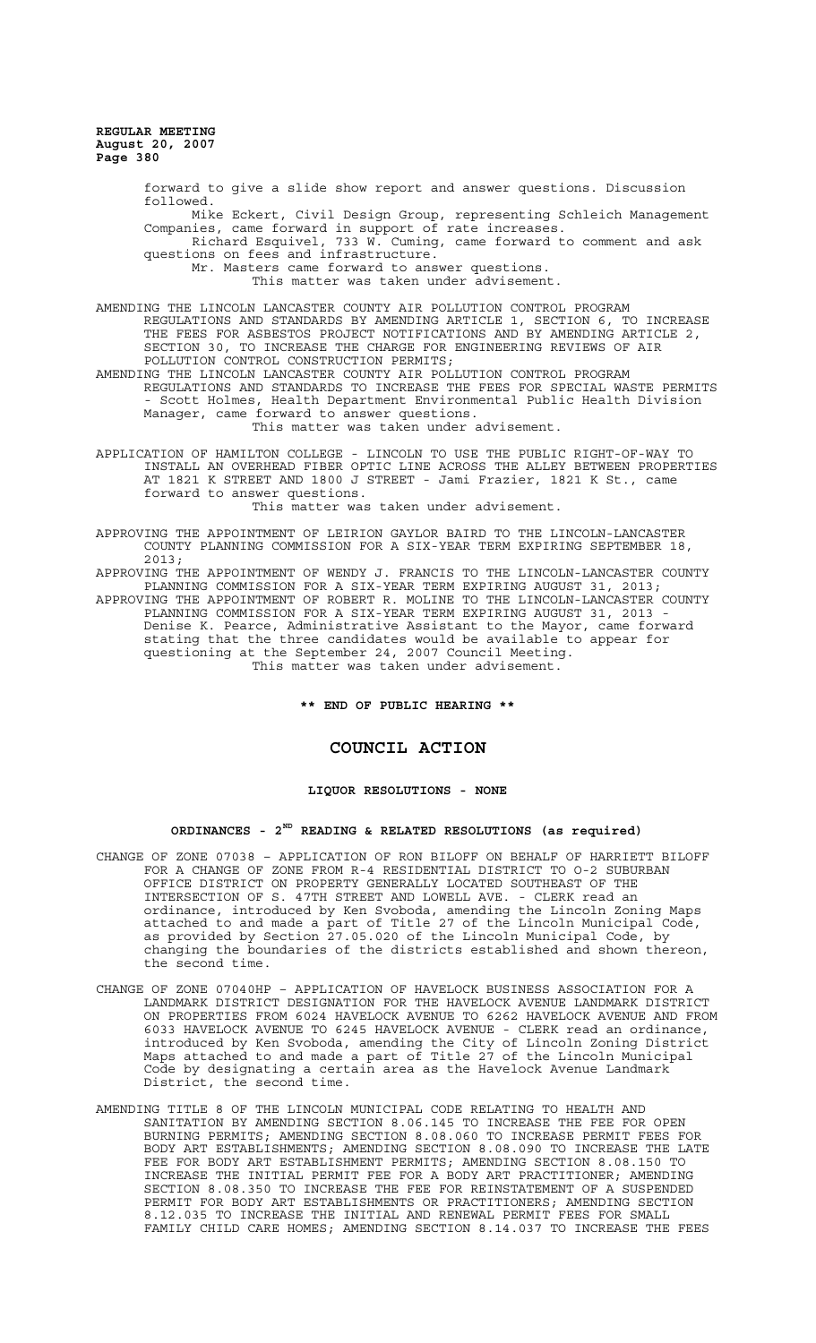> forward to give a slide show report and answer questions. Discussion followed. Mike Eckert, Civil Design Group, representing Schleich Management Companies, came forward in support of rate increases. Richard Esquivel, 733 W. Cuming, came forward to comment and ask questions on fees and infrastructure. Mr. Masters came forward to answer questions. This matter was taken under advisement.

AMENDING THE LINCOLN LANCASTER COUNTY AIR POLLUTION CONTROL PROGRAM REGULATIONS AND STANDARDS BY AMENDING ARTICLE 1, SECTION 6, TO INCREASE THE FEES FOR ASBESTOS PROJECT NOTIFICATIONS AND BY AMENDING ARTICLE 2, SECTION 30, TO INCREASE THE CHARGE FOR ENGINEERING REVIEWS OF AIR POLLUTION CONTROL CONSTRUCTION PERMITS; AMENDING THE LINCOLN LANCASTER COUNTY AIR POLLUTION CONTROL PROGRAM

REGULATIONS AND STANDARDS TO INCREASE THE FEES FOR SPECIAL WASTE PERMITS - Scott Holmes, Health Department Environmental Public Health Division Manager, came forward to answer questions. This matter was taken under advisement.

APPLICATION OF HAMILTON COLLEGE - LINCOLN TO USE THE PUBLIC RIGHT-OF-WAY TO INSTALL AN OVERHEAD FIBER OPTIC LINE ACROSS THE ALLEY BETWEEN PROPERTIES AT 1821 K STREET AND 1800 J STREET - Jami Frazier, 1821 K St., came forward to answer questions.

This matter was taken under advisement.

APPROVING THE APPOINTMENT OF LEIRION GAYLOR BAIRD TO THE LINCOLN-LANCASTER COUNTY PLANNING COMMISSION FOR A SIX-YEAR TERM EXPIRING SEPTEMBER 18, 2013;<br>APPROVING THE APPOINTMENT OF WENDY J.

FRANCIS TO THE LINCOLN-LANCASTER COUNTY PLANNING COMMISSION FOR A SIX-YEAR TERM EXPIRING AUGUST 31, 2013; APPROVING THE APPOINTMENT OF ROBERT R. MOLINE TO THE LINCOLN-LANCASTER COUNTY PLANNING COMMISSION FOR A SIX-YEAR TERM EXPIRING AUGUST 31, 2013 - Denise K. Pearce, Administrative Assistant to the Mayor, came forward stating that the three candidates would be available to appear for questioning at the September 24, 2007 Council Meeting. This matter was taken under advisement.

**\*\* END OF PUBLIC HEARING \*\***

## **COUNCIL ACTION**

#### **LIQUOR RESOLUTIONS - NONE**

## **ORDINANCES - 2ND READING & RELATED RESOLUTIONS (as required)**

- CHANGE OF ZONE 07038 APPLICATION OF RON BILOFF ON BEHALF OF HARRIETT BILOFF FOR A CHANGE OF ZONE FROM R-4 RESIDENTIAL DISTRICT TO O-2 SUBURBAN OFFICE DISTRICT ON PROPERTY GENERALLY LOCATED SOUTHEAST OF THE INTERSECTION OF S. 47TH STREET AND LOWELL AVE. - CLERK read an ordinance, introduced by Ken Svoboda, amending the Lincoln Zoning Maps attached to and made a part of Title 27 of the Lincoln Municipal Code, as provided by Section 27.05.020 of the Lincoln Municipal Code, by changing the boundaries of the districts established and shown thereon, the second time.
- CHANGE OF ZONE 07040HP APPLICATION OF HAVELOCK BUSINESS ASSOCIATION FOR A LANDMARK DISTRICT DESIGNATION FOR THE HAVELOCK AVENUE LANDMARK DISTRICT ON PROPERTIES FROM 6024 HAVELOCK AVENUE TO 6262 HAVELOCK AVENUE AND FROM 6033 HAVELOCK AVENUE TO 6245 HAVELOCK AVENUE - CLERK read an ordinance, introduced by Ken Svoboda, amending the City of Lincoln Zoning District Maps attached to and made a part of Title 27 of the Lincoln Municipal Code by designating a certain area as the Havelock Avenue Landmark District, the second time.
- AMENDING TITLE 8 OF THE LINCOLN MUNICIPAL CODE RELATING TO HEALTH AND SANITATION BY AMENDING SECTION 8.06.145 TO INCREASE THE FEE FOR OPEN BURNING PERMITS; AMENDING SECTION 8.08.060 TO INCREASE PERMIT FEES FOR BODY ART ESTABLISHMENTS; AMENDING SECTION 8.08.090 TO INCREASE THE LATE FEE FOR BODY ART ESTABLISHMENT PERMITS; AMENDING SECTION 8.08.150 TO INCREASE THE INITIAL PERMIT FEE FOR A BODY ART PRACTITIONER; AMENDING SECTION 8.08.350 TO INCREASE THE FEE FOR REINSTATEMENT OF A SUSPENDED PERMIT FOR BODY ART ESTABLISHMENTS OR PRACTITIONERS; AMENDING SECTION 8.12.035 TO INCREASE THE INITIAL AND RENEWAL PERMIT FEES FOR SMALL FAMILY CHILD CARE HOMES; AMENDING SECTION 8.14.037 TO INCREASE THE FEES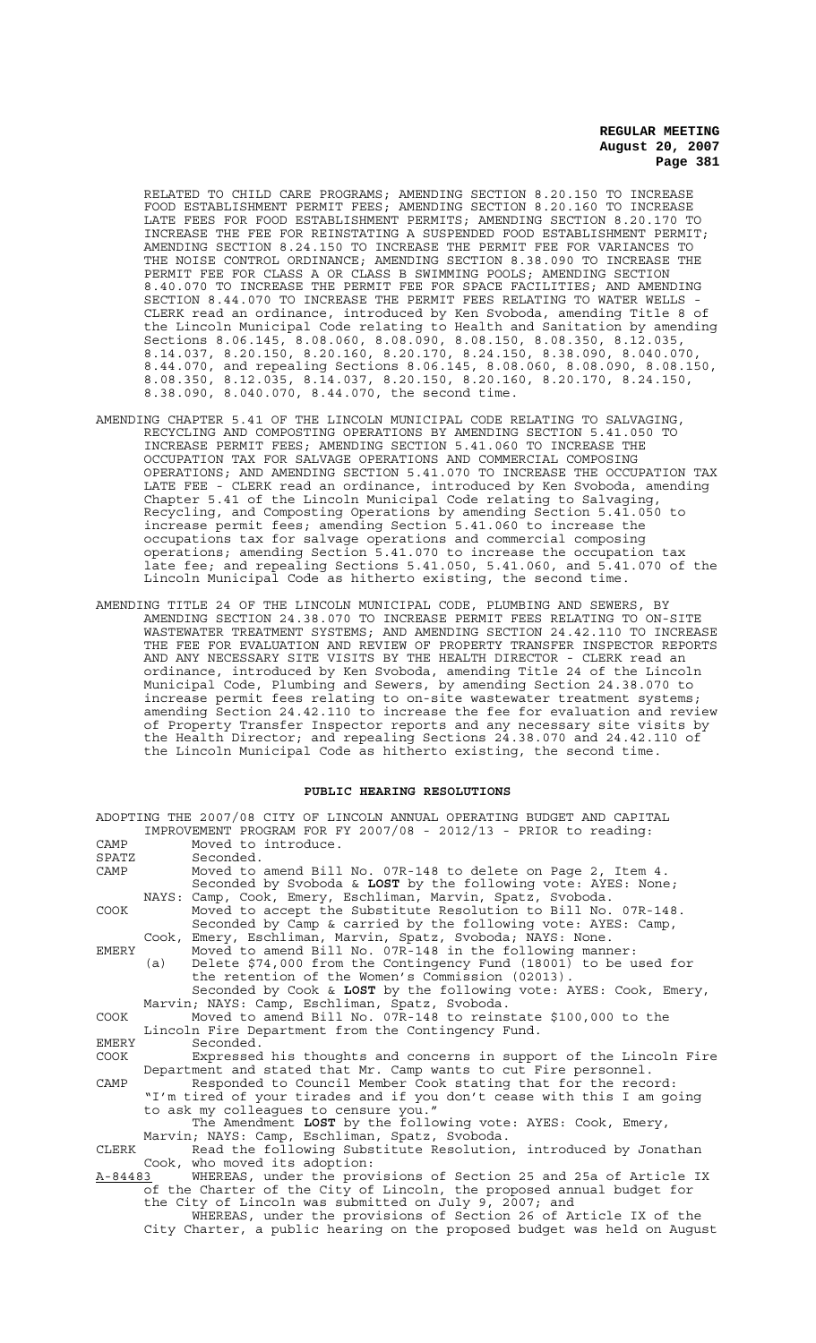RELATED TO CHILD CARE PROGRAMS; AMENDING SECTION 8.20.150 TO INCREASE FOOD ESTABLISHMENT PERMIT FEES; AMENDING SECTION 8.20.160 TO INCREASE LATE FEES FOR FOOD ESTABLISHMENT PERMITS; AMENDING SECTION 8.20.170 TO INCREASE THE FEE FOR REINSTATING A SUSPENDED FOOD ESTABLISHMENT PERMIT; AMENDING SECTION 8.24.150 TO INCREASE THE PERMIT FEE FOR VARIANCES TO THE NOISE CONTROL ORDINANCE; AMENDING SECTION 8.38.090 TO INCREASE THE PERMIT FEE FOR CLASS A OR CLASS B SWIMMING POOLS; AMENDING SECTION 8.40.070 TO INCREASE THE PERMIT FEE FOR SPACE FACILITIES; AND AMENDING SECTION 8.44.070 TO INCREASE THE PERMIT FEES RELATING TO WATER WELLS CLERK read an ordinance, introduced by Ken Svoboda, amending Title 8 of the Lincoln Municipal Code relating to Health and Sanitation by amending Sections 8.06.145, 8.08.060, 8.08.090, 8.08.150, 8.08.350, 8.12.035, 8.14.037, 8.20.150, 8.20.160, 8.20.170, 8.24.150, 8.38.090, 8.040.070, 8.44.070, and repealing Sections 8.06.145, 8.08.060, 8.08.090, 8.08.150, 8.08.350, 8.12.035, 8.14.037, 8.20.150, 8.20.160, 8.20.170, 8.24.150, 8.38.090, 8.040.070, 8.44.070, the second time.

- AMENDING CHAPTER 5.41 OF THE LINCOLN MUNICIPAL CODE RELATING TO SALVAGING, RECYCLING AND COMPOSTING OPERATIONS BY AMENDING SECTION 5.41.050 TO INCREASE PERMIT FEES; AMENDING SECTION 5.41.060 TO INCREASE THE OCCUPATION TAX FOR SALVAGE OPERATIONS AND COMMERCIAL COMPOSING OPERATIONS; AND AMENDING SECTION 5.41.070 TO INCREASE THE OCCUPATION TAX LATE FEE - CLERK read an ordinance, introduced by Ken Svoboda, amending Chapter 5.41 of the Lincoln Municipal Code relating to Salvaging, Recycling, and Composting Operations by amending Section 5.41.050 to increase permit fees; amending Section 5.41.060 to increase the occupations tax for salvage operations and commercial composing operations; amending Section 5.41.070 to increase the occupation tax late fee; and repealing Sections 5.41.050, 5.41.060, and 5.41.070 of the Lincoln Municipal Code as hitherto existing, the second time.
- AMENDING TITLE 24 OF THE LINCOLN MUNICIPAL CODE, PLUMBING AND SEWERS, BY AMENDING SECTION 24.38.070 TO INCREASE PERMIT FEES RELATING TO ON-SITE WASTEWATER TREATMENT SYSTEMS; AND AMENDING SECTION 24.42.110 TO INCREASE THE FEE FOR EVALUATION AND REVIEW OF PROPERTY TRANSFER INSPECTOR REPORTS<br>AND ANY NECESSARY SITE VISITS BY THE HEALTH DIRECTOR - CLERK read an AND ANY NECESSARY SITE VISITS BY THE HEALTH DIRECTOR ordinance, introduced by Ken Svoboda, amending Title 24 of the Lincoln Municipal Code, Plumbing and Sewers, by amending Section 24.38.070 to increase permit fees relating to on-site wastewater treatment systems; amending Section 24.42.110 to increase the fee for evaluation and review of Property Transfer Inspector reports and any necessary site visits by the Health Director; and repealing Sections 24.38.070 and 24.42.110 of the Lincoln Municipal Code as hitherto existing, the second time.

#### **PUBLIC HEARING RESOLUTIONS**

|              | ADOPTING THE 2007/08 CITY OF LINCOLN ANNUAL OPERATING BUDGET AND CAPITAL                                                      |
|--------------|-------------------------------------------------------------------------------------------------------------------------------|
|              | IMPROVEMENT PROGRAM FOR FY 2007/08 - 2012/13 - PRIOR to reading:                                                              |
| CAMP         | Moved to introduce.                                                                                                           |
| SPATZ        | Seconded.                                                                                                                     |
| CAMP         | Moved to amend Bill No. 07R-148 to delete on Page 2, Item 4.<br>Seconded by Svoboda & LOST by the following vote: AYES: None; |
|              | NAYS: Camp, Cook, Emery, Eschliman, Marvin, Spatz, Svoboda.                                                                   |
| COOK         | Moved to accept the Substitute Resolution to Bill No. 07R-148.                                                                |
|              | Seconded by Camp & carried by the following vote: AYES: Camp,                                                                 |
|              | Emery, Eschliman, Marvin, Spatz, Svoboda; NAYS: None.<br>Cook,                                                                |
| <b>EMERY</b> | Moved to amend Bill No. 07R-148 in the following manner:                                                                      |
|              | Delete \$74,000 from the Contingency Fund (18001) to be used for<br>(a)                                                       |
|              | the retention of the Women's Commission (02013).                                                                              |
|              | Seconded by Cook & LOST by the following vote: AYES: Cook, Emery,                                                             |
|              | Marvin; NAYS: Camp, Eschliman, Spatz, Svoboda.                                                                                |
| COOK         | Moved to amend Bill No. 07R-148 to reinstate \$100,000 to the                                                                 |
|              | Lincoln Fire Department from the Contingency Fund.                                                                            |
| EMERY        | Seconded.                                                                                                                     |
| COOK         | Expressed his thoughts and concerns in support of the Lincoln Fire                                                            |
|              | Department and stated that Mr. Camp wants to cut Fire personnel.                                                              |
| CAMP         | Responded to Council Member Cook stating that for the record:                                                                 |
|              | "I'm tired of your tirades and if you don't cease with this I am going                                                        |
|              | to ask my colleagues to censure you."                                                                                         |
|              | The Amendment LOST by the following vote: AYES: Cook, Emery,                                                                  |
|              | Marvin; NAYS: Camp, Eschliman, Spatz, Svoboda.                                                                                |
| CLERK        | Read the following Substitute Resolution, introduced by Jonathan                                                              |
|              | Cook, who moved its adoption:                                                                                                 |
| A-84483      | WHEREAS, under the provisions of Section 25 and 25a of Article IX                                                             |
|              | of the Charter of the City of Lincoln, the proposed annual budget for                                                         |
|              | the City of Lincoln was submitted on July 9, 2007; and                                                                        |
|              | WHEREAS, under the provisions of Section 26 of Article IX of the                                                              |
|              | City Charter, a public hearing on the proposed budget was held on August                                                      |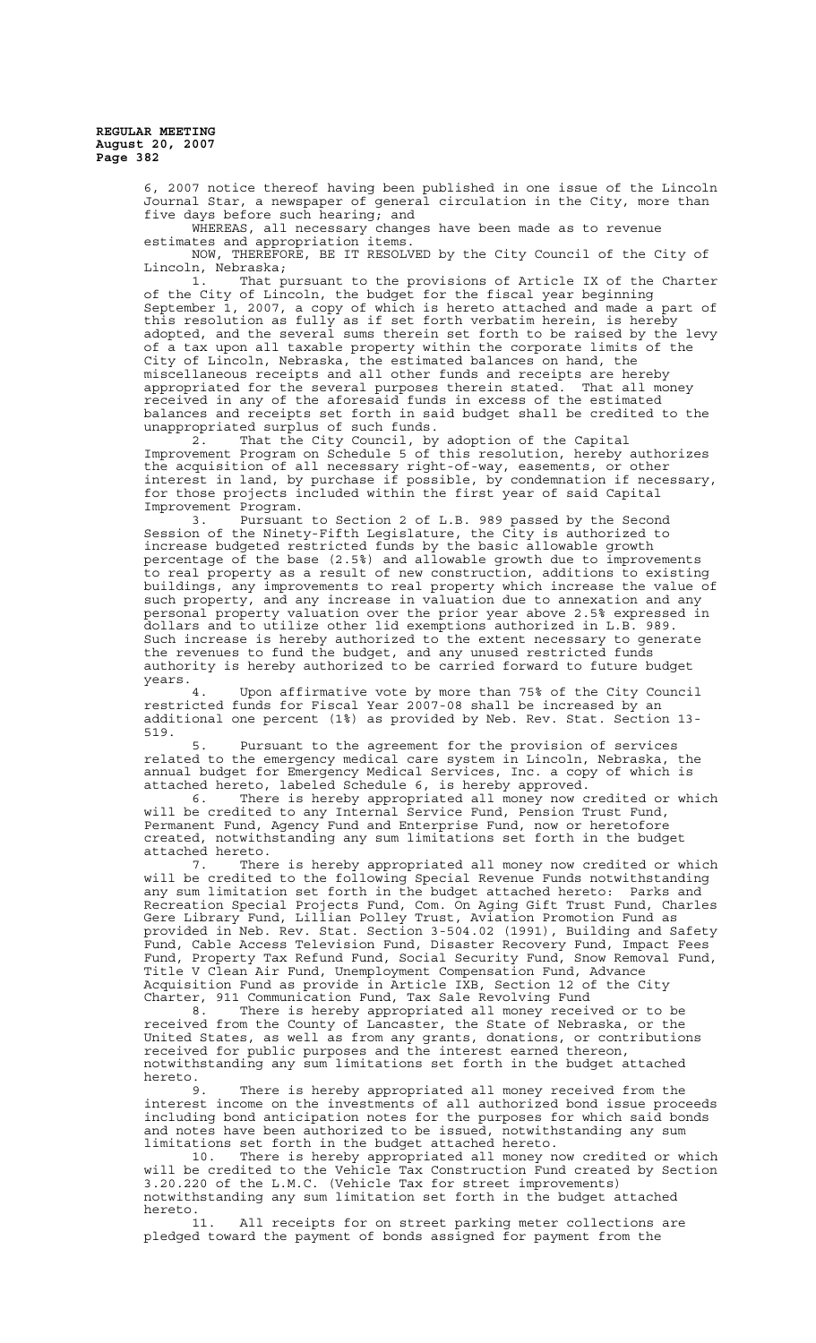> 6, 2007 notice thereof having been published in one issue of the Lincoln Journal Star, a newspaper of general circulation in the City, more than five days before such hearing; and

WHEREAS, all necessary changes have been made as to revenue estimates and appropriation items.

NOW, THEREFORE, BE IT RESOLVED by the City Council of the City of Lincoln, Nebraska;

1. That pursuant to the provisions of Article IX of the Charter of the City of Lincoln, the budget for the fiscal year beginning September 1, 2007, a copy of which is hereto attached and made a part of this resolution as fully as if set forth verbatim herein, is hereby adopted, and the several sums therein set forth to be raised by the levy of a tax upon all taxable property within the corporate limits of the City of Lincoln, Nebraska, the estimated balances on hand, the miscellaneous receipts and all other funds and receipts are hereby appropriated for the several purposes therein stated. That all money received in any of the aforesaid funds in excess of the estimated balances and receipts set forth in said budget shall be credited to the unappropriated surplus of such funds.

2. That the City Council, by adoption of the Capital Improvement Program on Schedule 5 of this resolution, hereby authorizes the acquisition of all necessary right-of-way, easements, or other interest in land, by purchase if possible, by condemnation if necessary, for those projects included within the first year of said Capital Improvement Program.

3. Pursuant to Section 2 of L.B. 989 passed by the Second Session of the Ninety-Fifth Legislature, the City is authorized to increase budgeted restricted funds by the basic allowable growth percentage of the base (2.5%) and allowable growth due to improvements to real property as a result of new construction, additions to existing buildings, any improvements to real property which increase the value of such property, and any increase in valuation due to annexation and any personal property valuation over the prior year above 2.5% expressed in dollars and to utilize other lid exemptions authorized in L.B. 989. Such increase is hereby authorized to the extent necessary to generate the revenues to fund the budget, and any unused restricted funds authority is hereby authorized to be carried forward to future budget years.

4. Upon affirmative vote by more than 75% of the City Council restricted funds for Fiscal Year 2007-08 shall be increased by an additional one percent (1%) as provided by Neb. Rev. Stat. Section 13- 519.

5. Pursuant to the agreement for the provision of services related to the emergency medical care system in Lincoln, Nebraska, the annual budget for Emergency Medical Services, Inc. a copy of which is attached hereto, labeled Schedule 6, is hereby approved.

6. There is hereby appropriated all money now credited or which will be credited to any Internal Service Fund, Pension Trust Fund, Permanent Fund, Agency Fund and Enterprise Fund, now or heretofore created, notwithstanding any sum limitations set forth in the budget attached hereto.

7. There is hereby appropriated all money now credited or which will be credited to the following Special Revenue Funds notwithstanding any sum limitation set forth in the budget attached hereto: Parks and Recreation Special Projects Fund, Com. On Aging Gift Trust Fund, Charles Gere Library Fund, Lillian Polley Trust, Aviation Promotion Fund as provided in Neb. Rev. Stat. Section 3-504.02 (1991), Building and Safety Fund, Cable Access Television Fund, Disaster Recovery Fund, Impact Fees Fund, Property Tax Refund Fund, Social Security Fund, Snow Removal Fund, Title V Clean Air Fund, Unemployment Compensation Fund, Advance Acquisition Fund as provide in Article IXB, Section 12 of the City Charter, 911 Communication Fund, Tax Sale Revolving Fund

8. There is hereby appropriated all money received or to be received from the County of Lancaster, the State of Nebraska, or the United States, as well as from any grants, donations, or contributions received for public purposes and the interest earned thereon, notwithstanding any sum limitations set forth in the budget attached hereto.<br>9

There is hereby appropriated all money received from the interest income on the investments of all authorized bond issue proceeds including bond anticipation notes for the purposes for which said bonds and notes have been authorized to be issued, notwithstanding any sum limitations set forth in the budget attached hereto.

10. There is hereby appropriated all money now credited or which will be credited to the Vehicle Tax Construction Fund created by Section 3.20.220 of the L.M.C. (Vehicle Tax for street improvements) notwithstanding any sum limitation set forth in the budget attached hereto.<br>11.

All receipts for on street parking meter collections are pledged toward the payment of bonds assigned for payment from the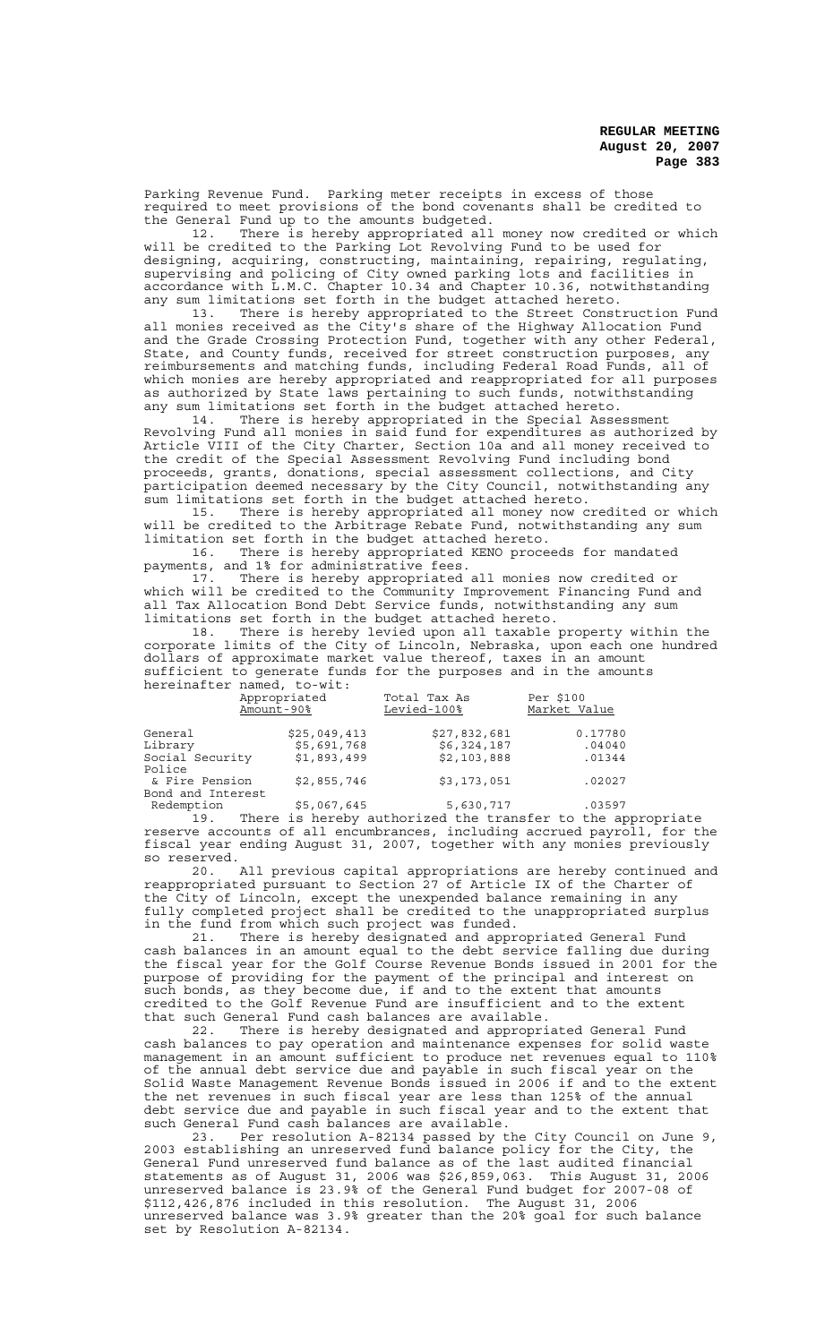Parking Revenue Fund. Parking meter receipts in excess of those required to meet provisions of the bond covenants shall be credited to the General Fund up to the amounts budgeted.

12. There is hereby appropriated all money now credited or which will be credited to the Parking Lot Revolving Fund to be used for designing, acquiring, constructing, maintaining, repairing, regulating, supervising and policing of City owned parking lots and facilities in accordance with L.M.C. Chapter 10.34 and Chapter 10.36, notwithstanding any sum limitations set forth in the budget attached hereto.

13. There is hereby appropriated to the Street Construction Fund all monies received as the City's share of the Highway Allocation Fund and the Grade Crossing Protection Fund, together with any other Federal, State, and County funds, received for street construction purposes, any reimbursements and matching funds, including Federal Road Funds, all of which monies are hereby appropriated and reappropriated for all purposes as authorized by State laws pertaining to such funds, notwithstanding any sum limitations set forth in the budget attached hereto.

14. There is hereby appropriated in the Special Assessment Revolving Fund all monies in said fund for expenditures as authorized by Article VIII of the City Charter, Section 10a and all money received to the credit of the Special Assessment Revolving Fund including bond proceeds, grants, donations, special assessment collections, and City participation deemed necessary by the City Council, notwithstanding any sum limitations set forth in the budget attached hereto.

15. There is hereby appropriated all money now credited or which will be credited to the Arbitrage Rebate Fund, notwithstanding any sum limitation set forth in the budget attached hereto.

16. There is hereby appropriated KENO proceeds for mandated payments, and 1% for administrative fees.

17. There is hereby appropriated all monies now credited or which will be credited to the Community Improvement Financing Fund and all Tax Allocation Bond Debt Service funds, notwithstanding any sum limitations set forth in the budget attached hereto.

There is hereby levied upon all taxable property within the corporate limits of the City of Lincoln, Nebraska, upon each one hundred dollars of approximate market value thereof, taxes in an amount sufficient to generate funds for the purposes and in the amounts hereinafter named, to-wit:

|                                     | Appropriated<br>Amount-90% | Total Tax As<br>Levied-100% | Per \$100<br>Market Value |
|-------------------------------------|----------------------------|-----------------------------|---------------------------|
| General                             | \$25,049,413               | \$27,832,681                | 0.17780                   |
| Library                             | \$5,691,768                | \$6,324,187                 | .04040                    |
| Social Security<br>Police           | \$1,893,499                | \$2,103,888                 | .01344                    |
| & Fire Pension<br>Bond and Interest | \$2,855,746                | \$3,173,051                 | .02027                    |
| Redemption                          | \$5,067,645                | 5,630,717                   | .03597                    |

19. There is hereby authorized the transfer to the appropriate reserve accounts of all encumbrances, including accrued payroll, for the fiscal year ending August 31, 2007, together with any monies previously so reserved.

20. All previous capital appropriations are hereby continued and reappropriated pursuant to Section 27 of Article IX of the Charter of the City of Lincoln, except the unexpended balance remaining in any fully completed project shall be credited to the unappropriated surplus in the fund from which such project was funded.

21. There is hereby designated and appropriated General Fund cash balances in an amount equal to the debt service falling due during the fiscal year for the Golf Course Revenue Bonds issued in 2001 for the purpose of providing for the payment of the principal and interest on such bonds, as they become due, if and to the extent that amounts credited to the Golf Revenue Fund are insufficient and to the extent that such General Fund cash balances are available.

22. There is hereby designated and appropriated General Fund cash balances to pay operation and maintenance expenses for solid waste management in an amount sufficient to produce net revenues equal to 110% of the annual debt service due and payable in such fiscal year on the Solid Waste Management Revenue Bonds issued in 2006 if and to the extent the net revenues in such fiscal year are less than 125% of the annual debt service due and payable in such fiscal year and to the extent that such General Fund cash balances are available.

23. Per resolution A-82134 passed by the City Council on June 9, 2003 establishing an unreserved fund balance policy for the City, the General Fund unreserved fund balance as of the last audited financial statements as of August 31, 2006 was \$26,859,063. This August 31, 2006 unreserved balance is 23.9% of the General Fund budget for 2007-08 of \$112,426,876 included in this resolution. The August 31, 2006 unreserved balance was 3.9% greater than the 20% goal for such balance set by Resolution A-82134.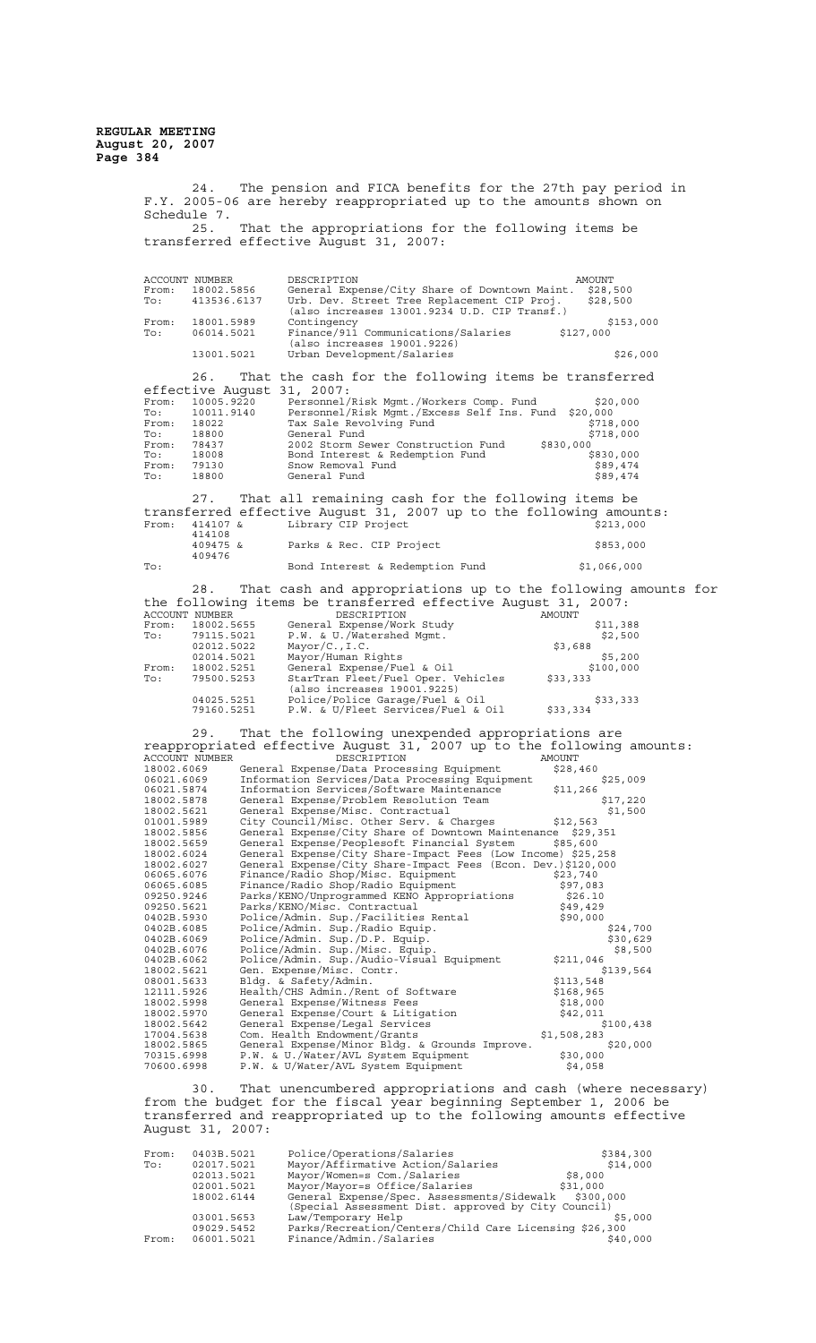> 24. The pension and FICA benefits for the 27th pay period in F.Y. 2005-06 are hereby reappropriated up to the amounts shown on Schedule 7.<br>25. That the appropriations for the following items be transferred effective August 31, 2007: ACCOUNT NUMBER DESCRIPTION AMOUNT From: 18002.5856 General Expense/City Share of Downtown Maint. \$28,500 To: 413536.6137 Urb. Dev. Street Tree Replacement CIP Proj. \$28,500 (also increases 13001.9234 U.D. CIP Transf.) From: 18001.5989 Contingency \$153,000 To: 06014.5021 Finance/911 Communications/Salaries \$127,000 (also increases 19001.9226) 13001.5021 Urban Development/Salaries \$26,000 26. That the cash for the following items be transferred effective August 31, 2007:<br>From: 10005.9220 Personnel/I<br>To: 10011.9140 Personnel/ From: 10005.9220 Personnel/Risk Mgmt./Workers Comp. Fund \$20,000 To: 10011.9140 Personnel/Risk Mgmt./Excess Self Ins. Fund \$20,000 From: 18022 Tax Sale Revolving Fund \$718,000 To: 18800 General Fund \$718,000 From: 18022 Tax Sale Revoluting Fund \$830,000<br>To: 18800 General Fund \$718,000<br>From: 78437 2002 Storm Sewer Construction Fund \$830,000<br>To: 18008 Bond Interest & Redemption Fund \$830,000 To: 18008 Bond Interest & Redemption Fund \$830,000 From: 79130 Snow Removal Fund \$89,474 To: 18800 General Fund **\$89,474** 27. That all remaining cash for the following items be transferred effective August 31, 2007 up to the following amounts:<br>From: 414107 & Library CIP Project \$213,000  $-54$ <br>414107 &<br>414108<br>409475 & Parks & Rec. CIP Project \$853,000 409476 To: Bond Interest & Redemption Fund \$1,066,000 28. That cash and appropriations up to the following amounts for the following items be transferred effective August 31, 2007: ACCOUNT NUMBER DESCRIPTION AMOUNT From: 18002.5655 General Expense/Work Study \$11,388<br>
> To: 79115.5021 P.W. & U./Watershed Mgmt. \$2,500<br>
> 02012.5022 Mayor/C., I.C. \$3,688<br>
> 02014.5021 Mayor/Uimpan Bights \$3,688 To: 79115.5021 P.W. & U./Watershed Mgmt. \$2,500 02012.5022 Mayor/C.,I.C. \$3,688 02014.5021 Mayor/Human Rights \$5,200 From: 18002.5251 General Expense/Fuel & Oil \$100,000 To: 79500.5253 StarTran Fleet/Fuel Oper. Vehicles \$33,333 (also increases 19001.9225) 04025.5251 Police/Police Garage/Fuel & Oil \$33,333 رحت کی بہت ہے۔<br>79160.5251 P.W. & U/Fleet Services/Fuel & Oil \$33,334<br>79160.5251 P.W. & U/Fleet Services/Fuel & Oil \$33,334 29. That the following unexpended appropriations are reappropriated effective August 31, 2007 up to the following amounts:<br>ACCOUNT NUMBER DESCRIPTION AMOUNT<br>18002.6069 General Expense/Data Processing Equipment \$28,460<br>06021.6069 Information Services/Data Processing Equipment 06021.5874 Information Services/Data Processing Equipment \$28,460<br>
> 06021.5874 Information Services/Software Maintenance \$11,266<br>
> 18002.5878 General Expense/Problem Resolution Team \$17,220<br>
> 18002.5621 General Expense/Misc. 18002.5878 General Expense/Problem Resolution Team \$17,220 18002.5621 General Expense/Misc. Contractual \$1,500 01001.5989 City Council/Misc. Other Serv. & Charges \$12,563<br>18002.5856 General Expense/City Share of Downtown Maintenance \$29,351<br>18002.5659 General Expense/Peoplesoft Financial System \$85,600<br>18002.6024 General Expense/Ci 06065.6076 Finance/Radio Shop/Misc. Equipment \$23,740 06065.6085 Finance/Radio Shop/Radio Equipment \$97,083 09250.9246 Parks/KENO/Unprogrammed KENO Appropriations \$26.10<br>
> 09250.5621 Parks/KENO/Misc.Contractual \$49,429<br>
> 0402B.6085 Police/Admin.Sup./Radio Equip. \$90,000<br>
> 0402B.6085 Police/Admin.Sup./Radio Equip. \$90,000<br>
> 0402B.606 12111.5926 Health/CHS Admin./Rent of Software \$168,965<br>
> 18002.5998 General Expense/Witness Fees \$18,000<br>
> 18002.5970 General Expense/Court & Litigation \$42,011<br>
> 18002.5642 General Expense/Legal Services \$100,438<br>
> 17004.563 30. That unencumbered appropriations and cash (where necessary)

from the budget for the fiscal year beginning September 1, 2006 be transferred and reappropriated up to the following amounts effective August 31, 2007:

| From: | 0403B.5021 | Police/Operations/Salaries                             | \$384,300 |
|-------|------------|--------------------------------------------------------|-----------|
| To:   | 02017.5021 | Mayor/Affirmative Action/Salaries                      | \$14,000  |
|       | 02013.5021 | Mayor/Women=s Com./Salaries                            | \$8,000   |
|       | 02001.5021 | Mayor/Mayor=s Office/Salaries                          | \$31,000  |
|       | 18002.6144 | General Expense/Spec. Assessments/Sidewalk             | \$300,000 |
|       |            | (Special Assessment Dist. approved by City Council)    |           |
|       | 03001.5653 | Law/Temporary Help                                     | \$5,000   |
|       | 09029.5452 | Parks/Recreation/Centers/Child Care Licensing \$26,300 |           |
| From: | 06001.5021 | Finance/Admin./Salaries                                | \$40,000  |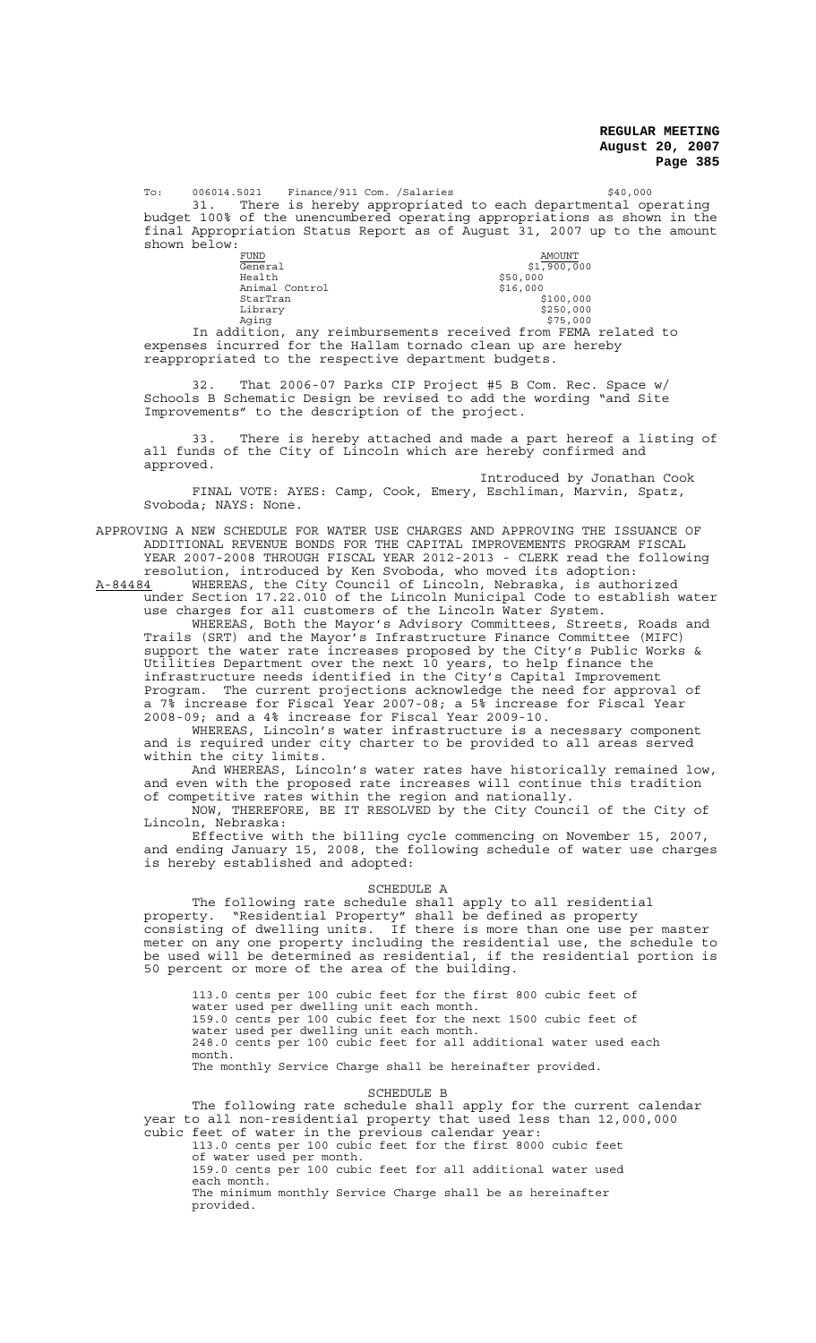To: 006014.5021 Finance/911 Com. /Salaries \$40,000

31. There is hereby appropriated to each departmental operating budget 100% of the unencumbered operating appropriations as shown in the final Appropriation Status Report as of August 31, 2007 up to the amount shown below:

| <b>FUND</b>    | AMOUNT                                                   |
|----------------|----------------------------------------------------------|
| General        | \$1,900,000                                              |
| Health         | \$50,000                                                 |
| Animal Control | \$16,000                                                 |
| StarTran       | \$100,000                                                |
| Library        | \$250,000                                                |
| Aqinq          | \$75,000                                                 |
|                | dition, any reimbursements received from FEMA related to |

In addition, any reimbursements received from FEMA related to expenses incurred for the Hallam tornado clean up are hereby reappropriated to the respective department budgets.

32. That 2006-07 Parks CIP Project #5 B Com. Rec. Space w/ Schools B Schematic Design be revised to add the wording "and Site Improvements" to the description of the project.

33. There is hereby attached and made a part hereof a listing of all funds of the City of Lincoln which are hereby confirmed and approved.

Introduced by Jonathan Cook FINAL VOTE: AYES: Camp, Cook, Emery, Eschliman, Marvin, Spatz, Svoboda; NAYS: None.

APPROVING A NEW SCHEDULE FOR WATER USE CHARGES AND APPROVING THE ISSUANCE OF ADDITIONAL REVENUE BONDS FOR THE CAPITAL IMPROVEMENTS PROGRAM FISCAL YEAR 2007-2008 THROUGH FISCAL YEAR 2012-2013 - CLERK read the following

resolution, introduced by Ken Svoboda, who moved its adoption: A-84484 MHEREAS, the City Council of Lincoln, Nebraska, is authorized under Section 17.22.010 of the Lincoln Municipal Code to establish water

use charges for all customers of the Lincoln Water System. WHEREAS, Both the Mayor's Advisory Committees, Streets, Roads and Trails (SRT) and the Mayor's Infrastructure Finance Committee (MIFC) support the water rate increases proposed by the City's Public Works & Utilities Department over the next 10 years, to help finance the infrastructure needs identified in the City's Capital Improvement Program. The current projections acknowledge the need for approval of a 7% increase for Fiscal Year 2007-08; a 5% increase for Fiscal Year 2008-09; and a 4% increase for Fiscal Year 2009-10.

WHEREAS, Lincoln's water infrastructure is a necessary component and is required under city charter to be provided to all areas served within the city limits.

And WHEREAS, Lincoln's water rates have historically remained low, and even with the proposed rate increases will continue this tradition of competitive rates within the region and nationally.

NOW, THEREFORE, BE IT RESOLVED by the City Council of the City of Lincoln. Nebraska: Nebraska:

Effective with the billing cycle commencing on November 15, 2007, and ending January 15, 2008, the following schedule of water use charges is hereby established and adopted:

#### SCHEDULE A

The following rate schedule shall apply to all residential property. "Residential Property" shall be defined as property consisting of dwelling units. If there is more than one use per master meter on any one property including the residential use, the schedule to be used will be determined as residential, if the residential portion is 50 percent or more of the area of the building.

113.0 cents per 100 cubic feet for the first 800 cubic feet of water used per dwelling unit each month. 159.0 cents per 100 cubic feet for the next 1500 cubic feet of water used per dwelling unit each month. 248.0 cents per 100 cubic feet for all additional water used each month. The monthly Service Charge shall be hereinafter provided.

SCHEDULE B

The following rate schedule shall apply for the current calendar year to all non-residential property that used less than 12,000,000 cubic feet of water in the previous calendar year: 113.0 cents per 100 cubic feet for the first 8000 cubic feet of water used per month. 159.0 cents per 100 cubic feet for all additional water used

each month. The minimum monthly Service Charge shall be as hereinafter provided.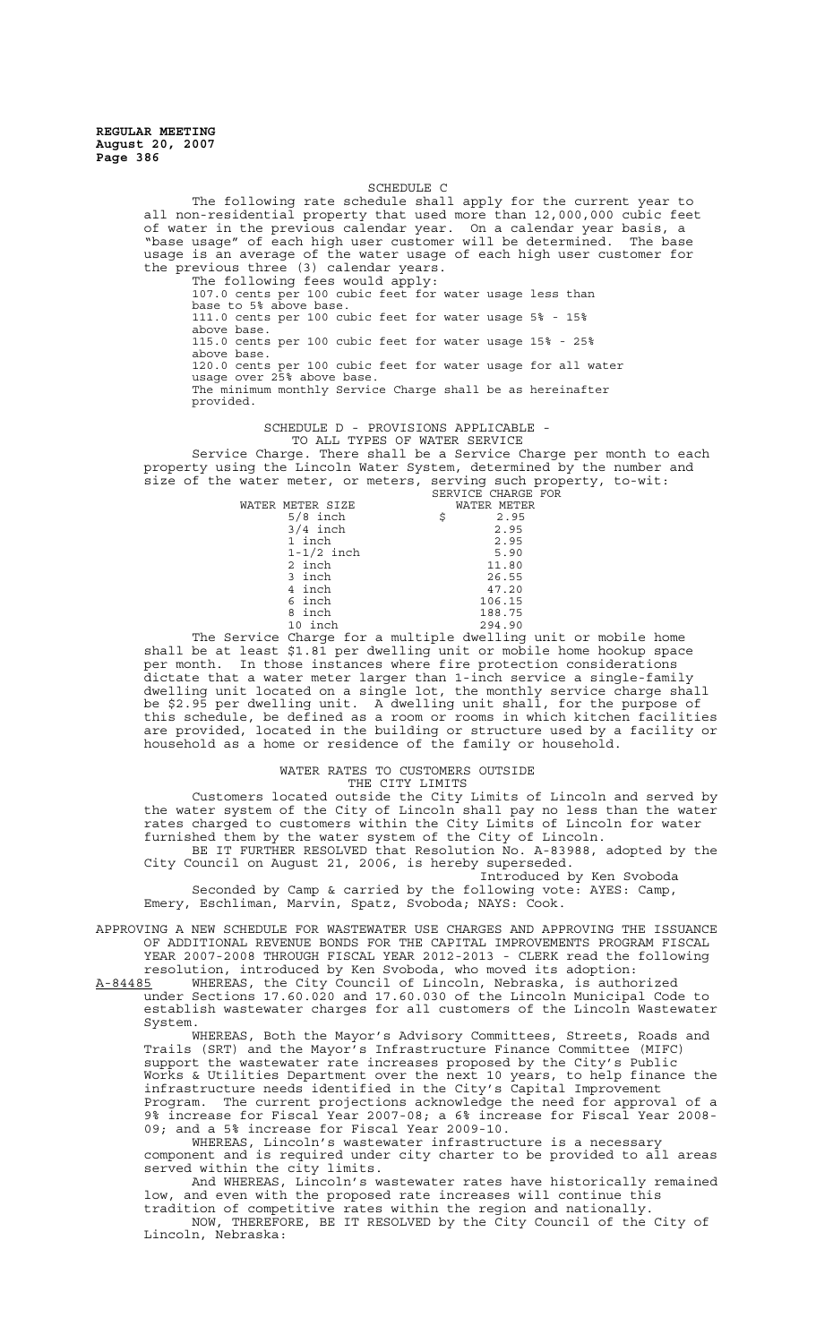## SCHEDULE C

The following rate schedule shall apply for the current year to all non-residential property that used more than 12,000,000 cubic feet of water in the previous calendar year. On a calendar year basis, a "base usage" of each high user customer will be determined. The base usage is an average of the water usage of each high user customer for the previous three (3) calendar years.

The following fees would apply: 107.0 cents per 100 cubic feet for water usage less than base to 5% above base. 111.0 cents per 100 cubic feet for water usage 5% - 15% above base. 115.0 cents per 100 cubic feet for water usage 15% - 25% above base. 120.0 cents per 100 cubic feet for water usage for all water usage over 25% above base. The minimum monthly Service Charge shall be as hereinafter provided.

SCHEDULE D - PROVISIONS APPLICABLE -

TO ALL TYPES OF WATER SERVICE Service Charge. There shall be a Service Charge per month to each property using the Lincoln Water System, determined by the number and size of the water meter, or meters, serving such property, to-wit: SERVICE CHARGE FOR

| WATER METER SIZE |   | WATER METER |
|------------------|---|-------------|
| $5/8$ inch       | Ŝ | 2.95        |
| $3/4$ inch       |   | 2.95        |
| 1 inch           |   | 2.95        |
| $1-1/2$ inch     |   | 5.90        |
| 2 inch           |   | 11.80       |
| 3 inch           |   | 26.55       |
| 4 inch           |   | 47.20       |
| 6 inch           |   | 106.15      |
| 8 inch           |   | 188.75      |
| 10 inch          |   | 294.90      |

The Service Charge for a multiple dwelling unit or mobile home shall be at least \$1.81 per dwelling unit or mobile home hookup space per month. In those instances where fire protection considerations dictate that a water meter larger than 1-inch service a single-family dwelling unit located on a single lot, the monthly service charge shall be \$2.95 per dwelling unit. A dwelling unit shall, for the purpose of this schedule, be defined as a room or rooms in which kitchen facilities are provided, located in the building or structure used by a facility or household as a home or residence of the family or household.

### WATER RATES TO CUSTOMERS OUTSIDE

THE CITY LIMITS Customers located outside the City Limits of Lincoln and served by the water system of the City of Lincoln shall pay no less than the water rates charged to customers within the City Limits of Lincoln for water furnished them by the water system of the City of Lincoln. BE IT FURTHER RESOLVED that Resolution No. A-83988, adopted by the

City Council on August 21, 2006, is hereby superseded. Introduced by Ken Svoboda

Seconded by Camp & carried by the following vote: AYES: Camp, Emery, Eschliman, Marvin, Spatz, Svoboda; NAYS: Cook.

APPROVING A NEW SCHEDULE FOR WASTEWATER USE CHARGES AND APPROVING THE ISSUANCE OF ADDITIONAL REVENUE BONDS FOR THE CAPITAL IMPROVEMENTS PROGRAM FISCAL YEAR 2007-2008 THROUGH FISCAL YEAR 2012-2013 - CLERK read the following resolution, introduced by Ken Svoboda, who moved its adoption:

A-84485 WHEREAS, the City Council of Lincoln, Nebraska, is authorized under Sections 17.60.020 and 17.60.030 of the Lincoln Municipal Code to establish wastewater charges for all customers of the Lincoln Wastewater System.

WHEREAS, Both the Mayor's Advisory Committees, Streets, Roads and Trails (SRT) and the Mayor's Infrastructure Finance Committee (MIFC) support the wastewater rate increases proposed by the City's Public Works & Utilities Department over the next 10 years, to help finance the infrastructure needs identified in the City's Capital Improvement Program. The current projections acknowledge the need for approval of a 9% increase for Fiscal Year 2007-08; a 6% increase for Fiscal Year 2008- 09; and a 5% increase for Fiscal Year 2009-10.

WHEREAS, Lincoln's wastewater infrastructure is a necessary component and is required under city charter to be provided to all areas served within the city limits.

And WHEREAS, Lincoln's wastewater rates have historically remained low, and even with the proposed rate increases will continue this tradition of competitive rates within the region and nationally.

NOW, THEREFORE, BE IT RESOLVED by the City Council of the City of Lincoln, Nebraska: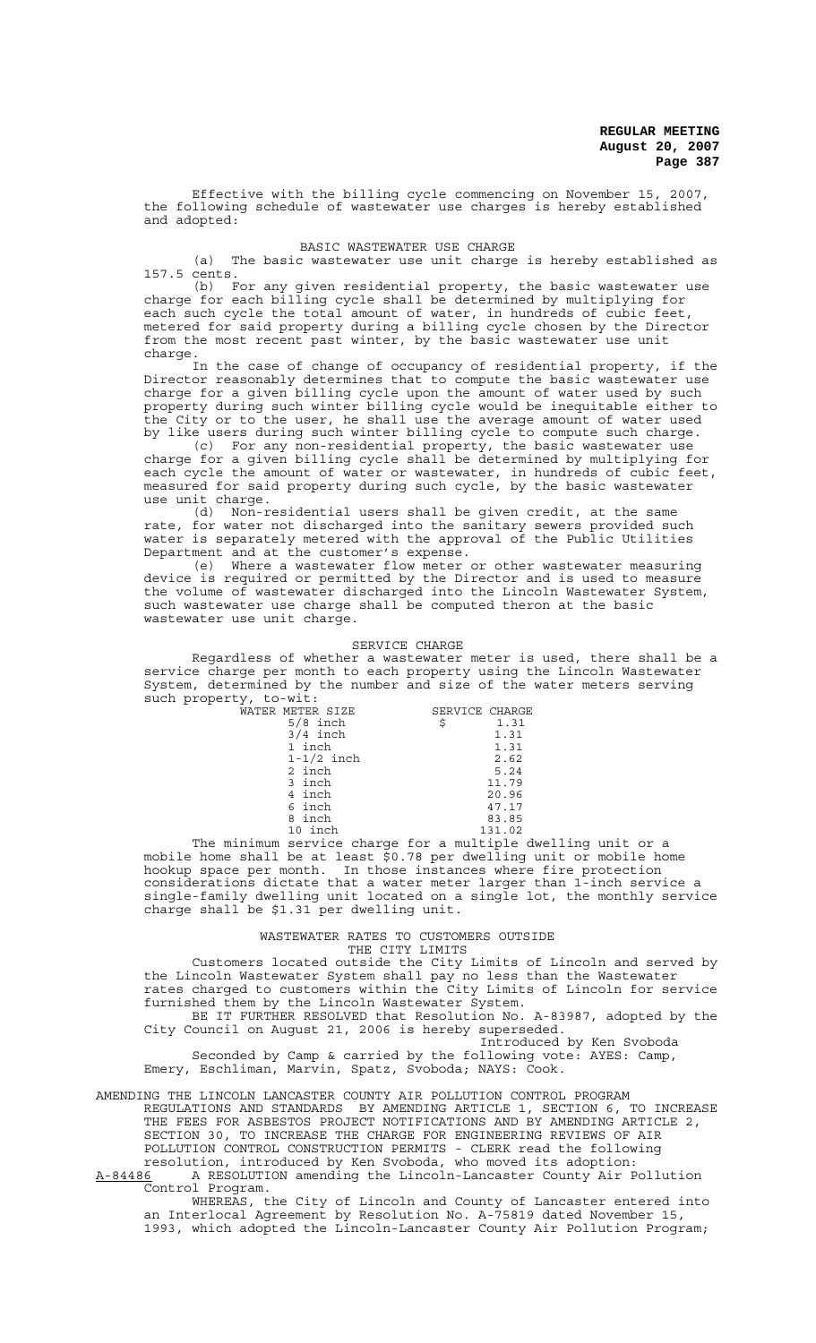Effective with the billing cycle commencing on November 15, 2007, the following schedule of wastewater use charges is hereby established and adopted:

### BASIC WASTEWATER USE CHARGE

(a) The basic wastewater use unit charge is hereby established as 157.5 cents.

(b) For any given residential property, the basic wastewater use charge for each billing cycle shall be determined by multiplying for each such cycle the total amount of water, in hundreds of cubic feet, metered for said property during a billing cycle chosen by the Director from the most recent past winter, by the basic wastewater use unit charge.

In the case of change of occupancy of residential property, if the Director reasonably determines that to compute the basic wastewater use charge for a given billing cycle upon the amount of water used by such property during such winter billing cycle would be inequitable either to the City or to the user, he shall use the average amount of water used by like users during such winter billing cycle to compute such charge.

(c) For any non-residential property, the basic wastewater use charge for a given billing cycle shall be determined by multiplying for each cycle the amount of water or wastewater, in hundreds of cubic feet, measured for said property during such cycle, by the basic wastewater use unit charge.

(d) Non-residential users shall be given credit, at the same rate, for water not discharged into the sanitary sewers provided such water is separately metered with the approval of the Public Utilities Department and at the customer's expense.

(e) Where a wastewater flow meter or other wastewater measuring device is required or permitted by the Director and is used to measure the volume of wastewater discharged into the Lincoln Wastewater System, such wastewater use charge shall be computed theron at the basic wastewater use unit charge.

#### SERVICE CHARGE

Regardless of whether a wastewater meter is used, there shall be a service charge per month to each property using the Lincoln Wastewater System, determined by the number and size of the water meters serving such property, to-wit:

| WATER METER SIZE | SERVICE CHARGE |        |
|------------------|----------------|--------|
| $5/8$ inch       | \$             | 1.31   |
| $3/4$ inch       |                | 1.31   |
| 1 inch           |                | 1.31   |
| $1-1/2$ inch     |                | 2.62   |
| 2 inch           |                | 5.24   |
| 3 inch           |                | 11.79  |
| 4 inch           |                | 20.96  |
| 6 inch           |                | 47.17  |
| 8 inch           |                | 83.85  |
| 10 inch          |                | 131.02 |

The minimum service charge for a multiple dwelling unit or a mobile home shall be at least \$0.78 per dwelling unit or mobile home hookup space per month. In those instances where fire protection considerations dictate that a water meter larger than 1-inch service a single-family dwelling unit located on a single lot, the monthly service charge shall be \$1.31 per dwelling unit.

#### WASTEWATER RATES TO CUSTOMERS OUTSIDE THE CITY LIMITS

Customers located outside the City Limits of Lincoln and served by the Lincoln Wastewater System shall pay no less than the Wastewater rates charged to customers within the City Limits of Lincoln for service furnished them by the Lincoln Wastewater System.

BE IT FURTHER RESOLVED that Resolution No. A-83987, adopted by the City Council on August 21, 2006 is hereby superseded. Introduced by Ken Svoboda

Seconded by Camp & carried by the following vote: AYES: Camp, Emery, Eschliman, Marvin, Spatz, Svoboda; NAYS: Cook.

AMENDING THE LINCOLN LANCASTER COUNTY AIR POLLUTION CONTROL PROGRAM REGULATIONS AND STANDARDS BY AMENDING ARTICLE 1, SECTION 6, TO INCREASE THE FEES FOR ASBESTOS PROJECT NOTIFICATIONS AND BY AMENDING ARTICLE 2, SECTION 30, TO INCREASE THE CHARGE FOR ENGINEERING REVIEWS OF AIR POLLUTION CONTROL CONSTRUCTION PERMITS - CLERK read the following resolution, introduced by Ken Svoboda, who moved its adoption:

A-84486 A RESOLUTION amending the Lincoln-Lancaster County Air Pollution Control Program.

WHEREAS, the City of Lincoln and County of Lancaster entered into an Interlocal Agreement by Resolution No. A-75819 dated November 15, 1993, which adopted the Lincoln-Lancaster County Air Pollution Program;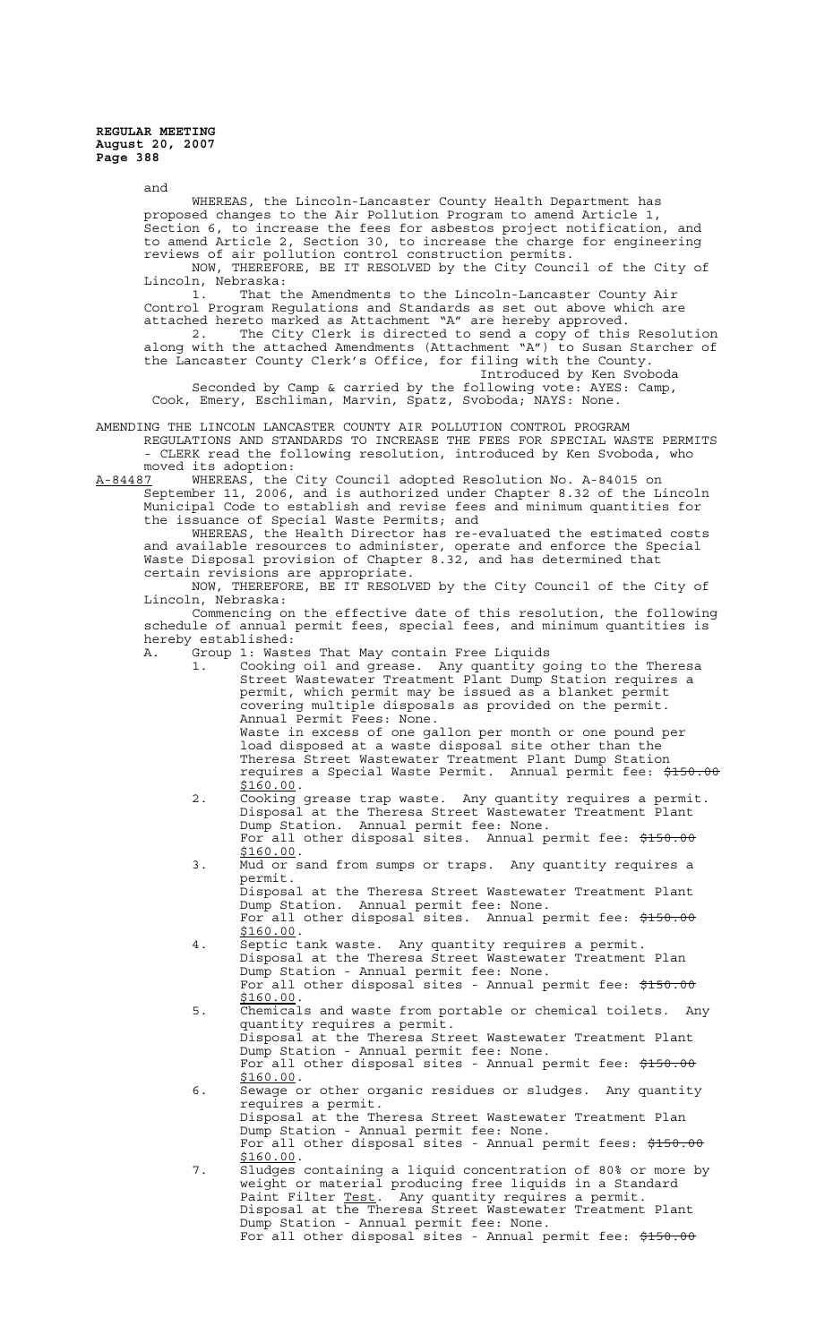and WHEREAS, the Lincoln-Lancaster County Health Department has proposed changes to the Air Pollution Program to amend Article 1, .<br>Section 6, to increase the fees for asbestos project notification, and to amend Article 2, Section 30, to increase the charge for engineering reviews of air pollution control construction permits. NOW, THEREFORE, BE IT RESOLVED by the City Council of the City of Lincoln, Nebraska:<br>1. That t That the Amendments to the Lincoln-Lancaster County Air Control Program Regulations and Standards as set out above which are attached hereto marked as Attachment "A" are hereby approved.<br>2. The City Clerk is directed to send a copy of this The City Clerk is directed to send a copy of this Resolution along with the attached Amendments (Attachment "A") to Susan Starcher of the Lancaster County Clerk's Office, for filing with the County. Introduced by Ken Svoboda Seconded by Camp & carried by the following vote: AYES: Camp, Cook, Emery, Eschliman, Marvin, Spatz, Svoboda; NAYS: None. AMENDING THE LINCOLN LANCASTER COUNTY AIR POLLUTION CONTROL PROGRAM REGULATIONS AND STANDARDS TO INCREASE THE FEES FOR SPECIAL WASTE PERMITS - CLERK read the following resolution, introduced by Ken Svoboda, who moved its adoption: A-84487 WHEREAS, the City Council adopted Resolution No. A-84015 on September 11, 2006, and is authorized under Chapter 8.32 of the Lincoln Municipal Code to establish and revise fees and minimum quantities for the issuance of Special Waste Permits; and WHEREAS, the Health Director has re-evaluated the estimated costs and available resources to administer, operate and enforce the Special Waste Disposal provision of Chapter 8.32, and has determined that certain revisions are appropriate. NOW, THEREFORE, BE IT RESOLVED by the City Council of the City of Lincoln, Nebraska: Commencing on the effective date of this resolution, the following schedule of annual permit fees, special fees, and minimum quantities is hereby established: A. Group 1: Wastes That May contain Free Liquids 1. Cooking oil and grease. Any quantity going to the Theresa Street Wastewater Treatment Plant Dump Station requires a permit, which permit may be issued as a blanket permit covering multiple disposals as provided on the permit. Annual Permit Fees: None. Waste in excess of one gallon per month or one pound per load disposed at a waste disposal site other than the Theresa Street Wastewater Treatment Plant Dump Station requires a Special Waste Permit. Annual permit fee: \$150.00 \$160.00.<br>2. Cooking grease trap waste. Any quantity requires a permit. Disposal at the Theresa Street Wastewater Treatment Plant Dump Station. Annual permit fee: None. For all other disposal sites. Annual permit fee: \$150.00 \$160.00. 3. Mud or sand from sumps or traps. Any quantity requires a permit. Disposal at the Theresa Street Wastewater Treatment Plant Dump Station. Annual permit fee: None. For all other disposal sites. Annual permit fee: \$150.00 \$160.00.<br>4. Septic tank waste. Any quantity requires a permit. Disposal at the Theresa Street Wastewater Treatment Plan Dump Station - Annual permit fee: None. For all other disposal sites - Annual permit fee: \$150.00 \$160.00. 5. Chemicals and waste from portable or chemical toilets. Any quantity requires a permit. Disposal at the Theresa Street Wastewater Treatment Plant Dump Station - Annual permit fee: None. For all other disposal sites - Annual permit fee: \$150.00 \$160.00. 6. Sewage or other organic residues or sludges. Any quantity requires a permit. Disposal at the Theresa Street Wastewater Treatment Plan Dump Station - Annual permit fee: None. For all other disposal sites - Annual permit fees: \$150.00 \$160.00. 7. Sludges containing a liquid concentration of 80% or more by weight or material producing free liquids in a Standard Paint Filter Test. Any quantity requires a permit. Disposal at the Theresa Street Wastewater Treatment Plant Dump Station - Annual permit fee: None. For all other disposal sites - Annual permit fee: \$150.00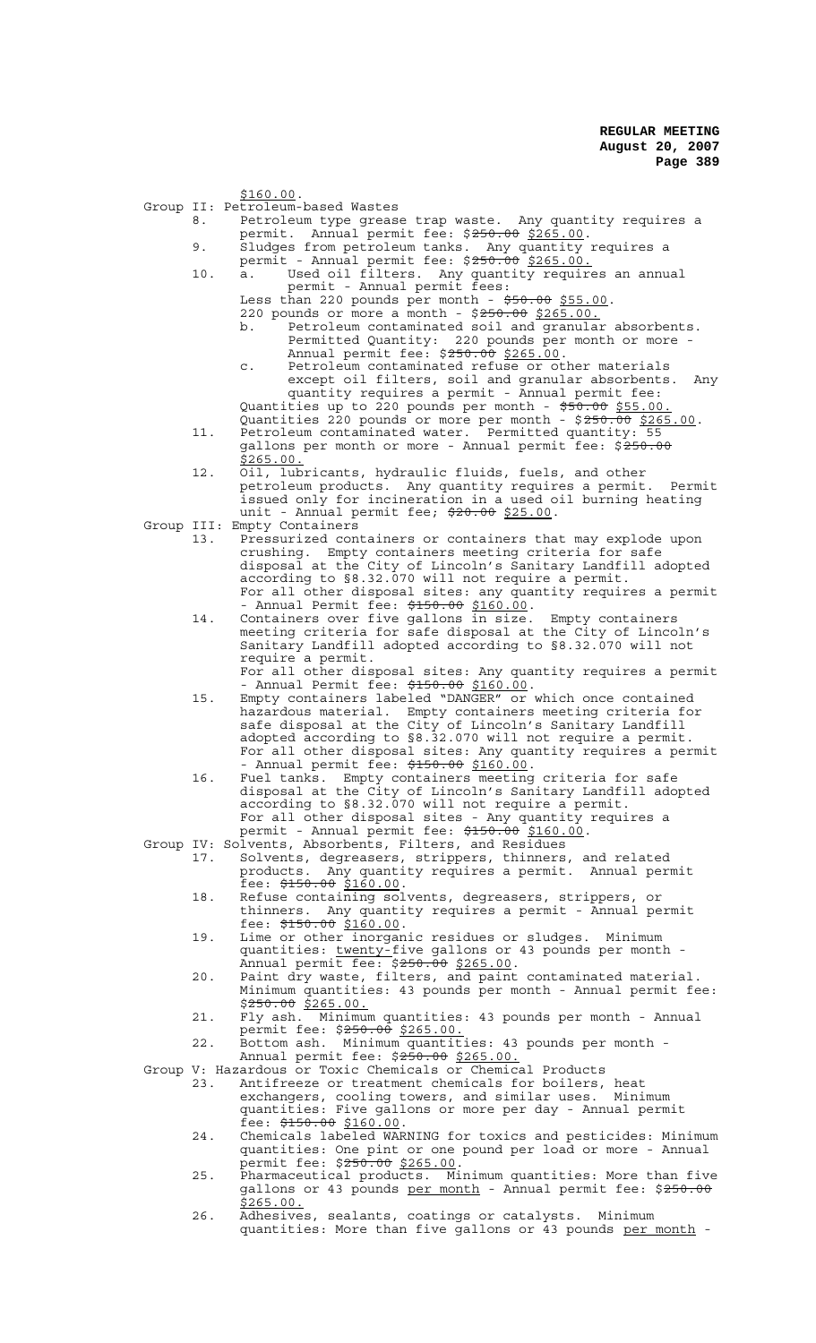\$160.00.

- Group II: Petroleum-based Wastes
	- 8. Petroleum type grease trap waste. Any quantity requires a permit. Annual permit fee: \$250.00 \$265.00.
	- 9. Sludges from petroleum tanks. Any quantity requires a
	- permit Annual permit fee: \$<del>250.00</del> \$265.00.
	- 10. a. Used oil filters. Any quantity requires an annual permit - Annual permit fees:

Less than 220 pounds per month -  $\frac{1}{550.00}$  \$55.00.

- 220 pounds or more a month \$250.00 \$265.00. b. Petroleum contaminated soil and granular absorbents. Permitted Quantity: 220 pounds per month or more - Annual permit fee: \$250.00 \$265.00.
- c. Petroleum contaminated refuse or other materials except oil filters, soil and granular absorbents. Any quantity requires a permit - Annual permit fee: Quantities up to 220 pounds per month - \$50.00 \$55.00.
- Quantities 220 pounds or more per month \$250.00 \$265.00. 11. Petroleum contaminated water. Permitted quantity: 55 Quantities 220 pounds or more per month -  $$250.00$   $$265.00$ .<br>Petroleum contaminated water. Permitted quantity: 55<br>gallons per month or more - Annual permit fee:  $$250.00$ \$265.00.
- 12. Oil, lubricants, hydraulic fluids, fuels, and other petroleum products. Any quantity requires a permit. Permit issued only for incineration in a used oil burning heating unit - Annual permit fee; \$20.00 \$25.00.
- Group III: Empty Containers
	- 13. Pressurized containers or containers that may explode upon crushing. Empty containers meeting criteria for safe disposal at the City of Lincoln's Sanitary Landfill adopted according to §8.32.070 will not require a permit. For all other disposal sites: any quantity requires a permit - Annual Permit fee: \$150.00 \$160.00.
	- 14. Containers over five gallons in size. Empty containers meeting criteria for safe disposal at the City of Lincoln's Sanitary Landfill adopted according to §8.32.070 will not require a permit.

For all other disposal sites: Any quantity requires a permit - Annual Permit fee: \$150.00 \$160.00.<br>15. Empty containers labeled "DANGER" or which once contained

- hazardous material. Empty containers meeting criteria for safe disposal at the City of Lincoln's Sanitary Landfill adopted according to §8.32.070 will not require a permit. For all other disposal sites: Any quantity requires a permit - Annual permit fee:  $\frac{2150.00}{100.00}$ .
- 16. Fuel tanks. Empty containers meeting criteria for safe disposal at the City of Lincoln's Sanitary Landfill adopted according to §8.32.070 will not require a permit. For all other disposal sites - Any quantity requires a permit - Annual permit fee: \$150.00 \$160.00.<br>Group IV: Solvents, Absorbents, Filters, and Residues

- 17. Solvents, degreasers, strippers, thinners, and related products. Any quantity requires a permit. Annual permit fee: <del>\$150.00</del> \$<u>160.00</u>.<br>18. Refuse containing solvents, degreasers, strippers, or
- thinners. Any quantity requires a permit Annual permit fee: <del>\$150.00</del> \$160.00. The set of the state: the fee: \$150.00 \$160.00. The state or sludges. Minimum
- quantities: twenty-five gallons or 43 pounds per month -<br>Annual permit fee: \$250.00 \$265.00.
- Annual permit fee: \$250.00 \$265.00.<br>20. Paint dry waste, filters, and paint contaminated material. Minimum quantities: 43 pounds per month - Annual permit fee: \$<del>250.00</del> \$265.00.
- 21. Fly ash. Minimum quantities: 43 pounds per month Annual permit fee: \$<del>250.00</del> \$265.00.
- 22. Bottom ash. Minimum quantities: 43 pounds per month Annual permit fee: \$250.00 \$265.00.

Group V: Hazardous or Toxic Chemicals or Chemical Products<br>23. Antifreeze or treatment chemicals for boilers.

- 23. Antifreeze or treatment chemicals for boilers, heat exchangers, cooling towers, and similar uses. Minimum quantities: Five gallons or more per day - Annual permit fee: \$150.00 \$160.00.<br>24. Chemicals labeled WARNING for toxics and pesticides: Minimum
- quantities: One pint or one pound per load or more Annual permit fee: \$<del>250.00</del> \$265.00.<br>25. Pharmaceutical products. Minimum quantities: More than five
- gallons or 43 pounds <u>per month</u> Annual permit fee: \$<del>250.00</del> \$265.00.
- 26. Adhesives, sealants, coatings or catalysts. Minimum quantities: More than five gallons or 43 pounds per month -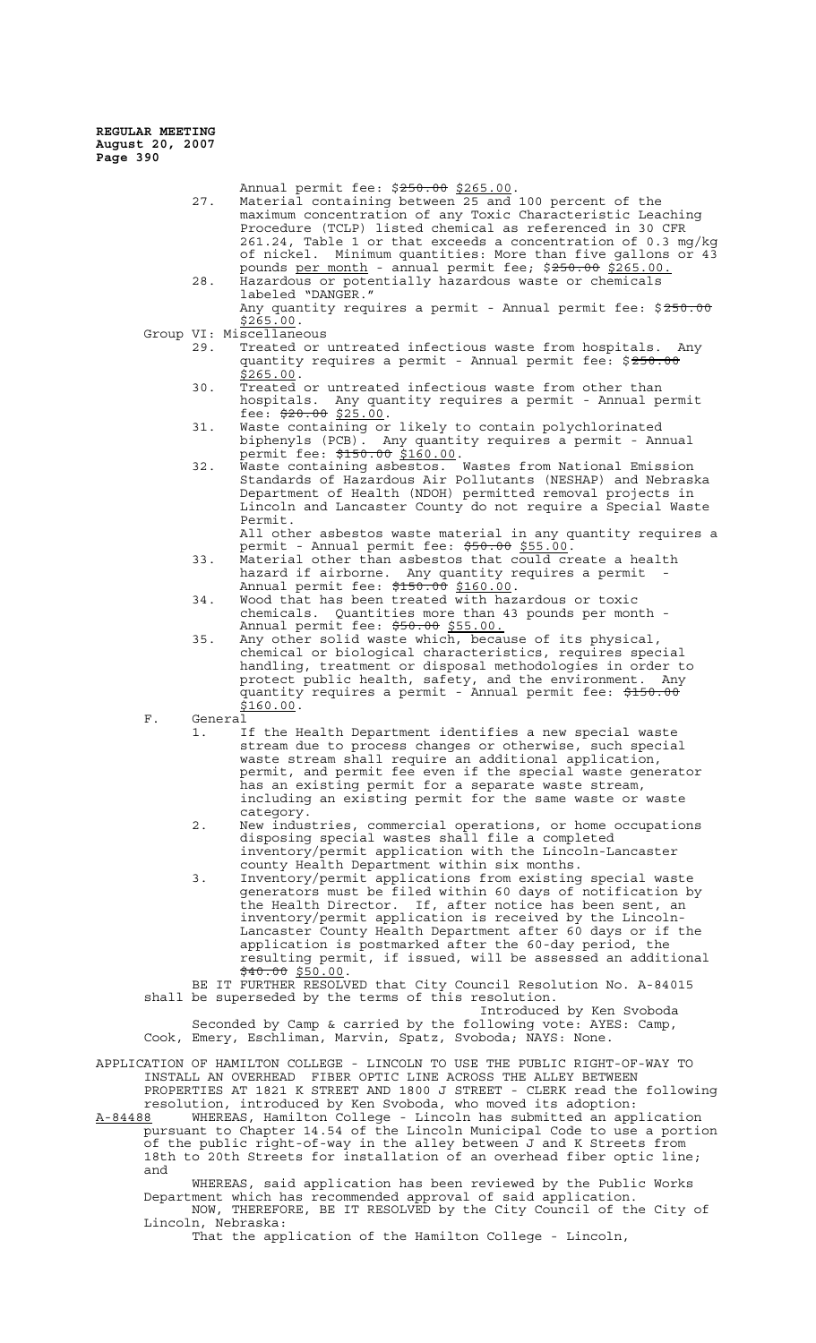- Annual permit fee: \$250.00 \$265.00. 27. Material containing between 25 and 100 percent of the maximum concentration of any Toxic Characteristic Leaching Procedure (TCLP) listed chemical as referenced in 30 CFR 261.24, Table 1 or that exceeds a concentration of 0.3 mg/kg of nickel. Minimum quantities: More than five gallons or 43 pounds per month - annual permit fee; \$250.00 \$265.00. 28. Hazardous or potentially hazardous waste or chemicals
	- labeled "DANGER." Any quantity requires a permit - Annual permit fee: \$250.00  $$265.00.$
- Group VI: Miscellaneous<br>29. Treated or
	- Treated or untreated infectious waste from hospitals. Any quantity requires a permit - Annual permit fee: \$250.00 \$265.00.
	- 30. Treated or untreated infectious waste from other than hospitals. Any quantity requires a permit - Annual permit fee: \$20.00 \$25.00.
	- 31. Waste containing or likely to contain polychlorinated biphenyls (PCB). Any quantity requires a permit - Annual permit fee: \$150.00 \$160.00.
	- 32. Waste containing asbestos. Wastes from National Emission Standards of Hazardous Air Pollutants (NESHAP) and Nebraska Department of Health (NDOH) permitted removal projects in Lincoln and Lancaster County do not require a Special Waste Permit.
		- All other asbestos waste material in any quantity requires a permit - Annual permit fee: \$50.00 \$55.00.
	- 33. Material other than asbestos that could create a health hazard if airborne. Any quantity requires a permit - Annual permit fee: \$150.00 \$160.00.
	- 34. Wood that has been treated with hazardous or toxic chemicals. Quantities more than 43 pounds per month - Annual permit fee: \$50.00 \$55.00.
	- 35. Any other solid waste which, because of its physical, chemical or biological characteristics, requires special handling, treatment or disposal methodologies in order to protect public health, safety, and the environment. Any quantity requires a permit - Annual permit fee: \$150.00 \$160.00.
- F. General
	- 1. If the Health Department identifies a new special waste stream due to process changes or otherwise, such special waste stream shall require an additional application, permit, and permit fee even if the special waste generator has an existing permit for a separate waste stream, including an existing permit for the same waste or waste category.
	- 2. New industries, commercial operations, or home occupations disposing special wastes shall file a completed inventory/permit application with the Lincoln-Lancaster county Health Department within six months.
	- 3. Inventory/permit applications from existing special waste generators must be filed within 60 days of notification by the Health Director. If, after notice has been sent, an inventory/permit application is received by the Lincoln-Lancaster County Health Department after 60 days or if the application is postmarked after the 60-day period, the resulting permit, if issued, will be assessed an additional  $\frac{40.00}{540.00}$  \$50.00.

BE IT FURTHER RESOLVED that City Council Resolution No. A-84015 shall be superseded by the terms of this resolution.

Introduced by Ken Svoboda Seconded by Camp & carried by the following vote: AYES: Camp, Cook, Emery, Eschliman, Marvin, Spatz, Svoboda; NAYS: None.

APPLICATION OF HAMILTON COLLEGE - LINCOLN TO USE THE PUBLIC RIGHT-OF-WAY TO INSTALL AN OVERHEAD FIBER OPTIC LINE ACROSS THE ALLEY BETWEEN PROPERTIES AT 1821 K STREET AND 1800 J STREET - CLERK read the following

resolution, introduced by Ken Svoboda, who moved its adoption: A-84488 MHEREAS, Hamilton College - Lincoln has submitted an application pursuant to Chapter 14.54 of the Lincoln Municipal Code to use a portion of the public right-of-way in the alley between J and K Streets from 18th to 20th Streets for installation of an overhead fiber optic line; and

WHEREAS, said application has been reviewed by the Public Works Department which has recommended approval of said application. NOW, THEREFORE, BE IT RESOLVED by the City Council of the City of Lincoln, Nebraska:

That the application of the Hamilton College - Lincoln,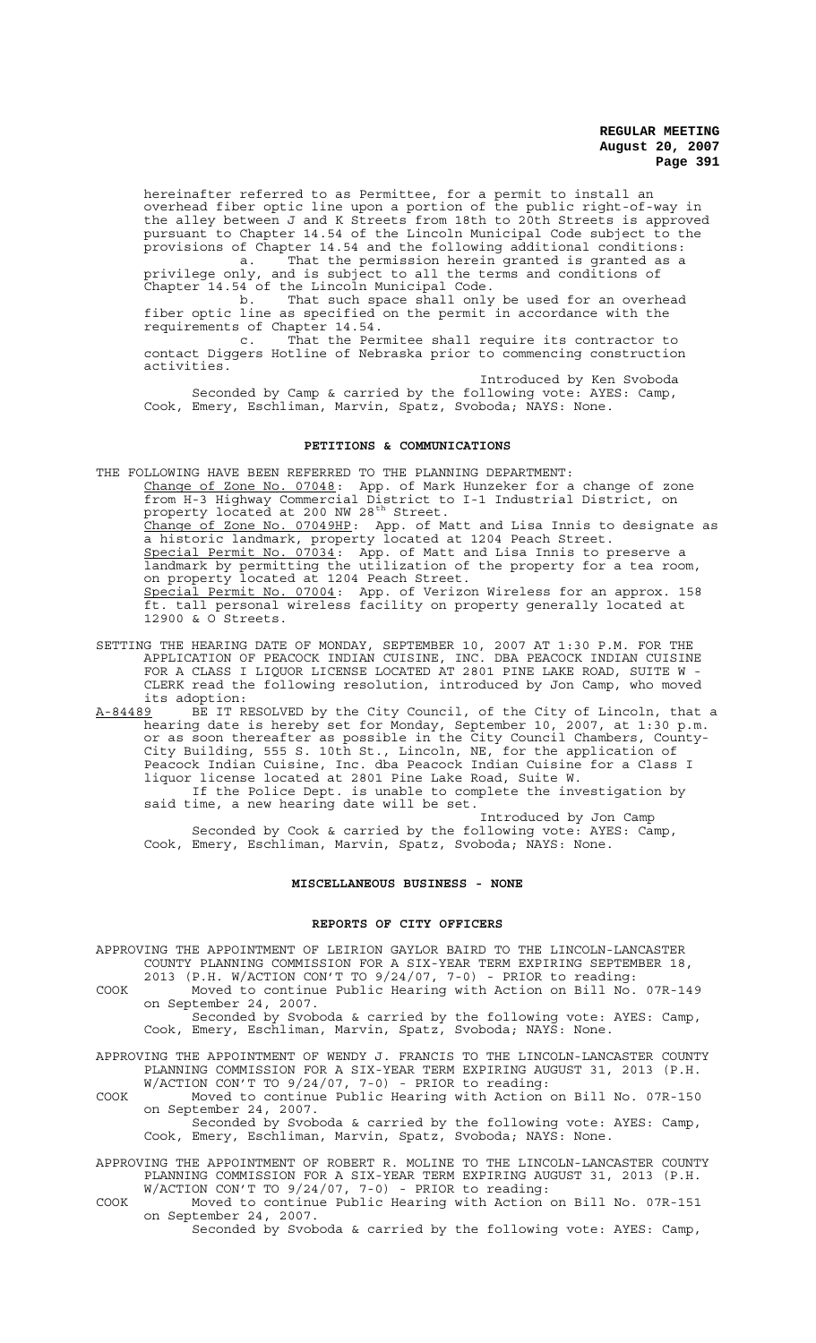hereinafter referred to as Permittee, for a permit to install an overhead fiber optic line upon a portion of the public right-of-way in the alley between J and K Streets from 18th to 20th Streets is approved pursuant to Chapter 14.54 of the Lincoln Municipal Code subject to the provisions of Chapter 14.54 and the following additional conditions:

a. That the permission herein granted is granted as a privilege only, and is subject to all the terms and conditions of Chapter 14.54 of the Lincoln Municipal Code.

b. That such space shall only be used for an overhead fiber optic line as specified on the permit in accordance with the requirements of Chapter 14.54.<br>c. That the Per

That the Permitee shall require its contractor to contact Diggers Hotline of Nebraska prior to commencing construction activities.

Introduced by Ken Svoboda

Seconded by Camp & carried by the following vote: AYES: Camp, Cook, Emery, Eschliman, Marvin, Spatz, Svoboda; NAYS: None.

### **PETITIONS & COMMUNICATIONS**

THE FOLLOWING HAVE BEEN REFERRED TO THE PLANNING DEPARTMENT: Change of Zone No. 07048: App. of Mark Hunzeker for a change of zone from H-3 Highway Commercial District to I-1 Industrial District, on property located at 200 NW 28<sup>th</sup> Street. Change of Zone No. 07049HP: App. of Matt and Lisa Innis to designate as a historic landmark, property located at 1204 Peach Street. Special Permit No. 07034: App. of Matt and Lisa Innis to preserve a landmark by permitting the utilization of the property for a tea room, on property located at 1204 Peach Street. Special Permit No. 07004: App. of Verizon Wireless for an approx. 158 ft. tall personal wireless facility on property generally located at 12900 & O Streets.

SETTING THE HEARING DATE OF MONDAY, SEPTEMBER 10, 2007 AT 1:30 P.M. FOR THE APPLICATION OF PEACOCK INDIAN CUISINE, INC. DBA PEACOCK INDIAN CUISINE FOR A CLASS I LIQUOR LICENSE LOCATED AT 2801 PINE LAKE ROAD, SUITE W - CLERK read the following resolution, introduced by Jon Camp, who moved its adoption:<br>A-84489 BE IT R

A-84489 BE IT RESOLVED by the City Council, of the City of Lincoln, that a hearing date is hereby set for Monday, September 10, 2007, at 1:30 p.m. or as soon thereafter as possible in the City Council Chambers, County-City Building, 555 S. 10th St., Lincoln, NE, for the application of Peacock Indian Cuisine, Inc. dba Peacock Indian Cuisine for a Class I liquor license located at 2801 Pine Lake Road, Suite W. If the Police Dept. is unable to complete the investigation by

said time, a new hearing date will be set. Introduced by Jon Camp Seconded by Cook & carried by the following vote: AYES: Camp,

Cook, Emery, Eschliman, Marvin, Spatz, Svoboda; NAYS: None.

#### **MISCELLANEOUS BUSINESS - NONE**

### **REPORTS OF CITY OFFICERS**

APPROVING THE APPOINTMENT OF LEIRION GAYLOR BAIRD TO THE LINCOLN-LANCASTER COUNTY PLANNING COMMISSION FOR A SIX-YEAR TERM EXPIRING SEPTEMBER 18,

2013 (P.H. W/ACTION CON'T TO 9/24/07, 7-0) - PRIOR to reading: COOK Moved to continue Public Hearing with Action on Bill No. 07R-149 on September 24, 2007. Seconded by Svoboda & carried by the following vote: AYES: Camp,

Cook, Emery, Eschliman, Marvin, Spatz, Svoboda; NAYS: None.

- APPROVING THE APPOINTMENT OF WENDY J. FRANCIS TO THE LINCOLN-LANCASTER COUNTY PLANNING COMMISSION FOR A SIX-YEAR TERM EXPIRING AUGUST 31, 2013 (P.H. W/ACTION CON'T TO 9/24/07, 7-0) - PRIOR to reading:
- COOK Moved to continue Public Hearing with Action on Bill No. 07R-150 on September 24, 2007.

Seconded by Svoboda & carried by the following vote: AYES: Camp, Cook, Emery, Eschliman, Marvin, Spatz, Svoboda; NAYS: None.

- APPROVING THE APPOINTMENT OF ROBERT R. MOLINE TO THE LINCOLN-LANCASTER COUNTY PLANNING COMMISSION FOR A SIX-YEAR TERM EXPIRING AUGUST 31, 2013 (P.H. W/ACTION CON'T TO 9/24/07, 7-0) - PRIOR to reading:
- COOK Moved to continue Public Hearing with Action on Bill No. 07R-151 on September 24, 2007.

Seconded by Svoboda & carried by the following vote: AYES: Camp,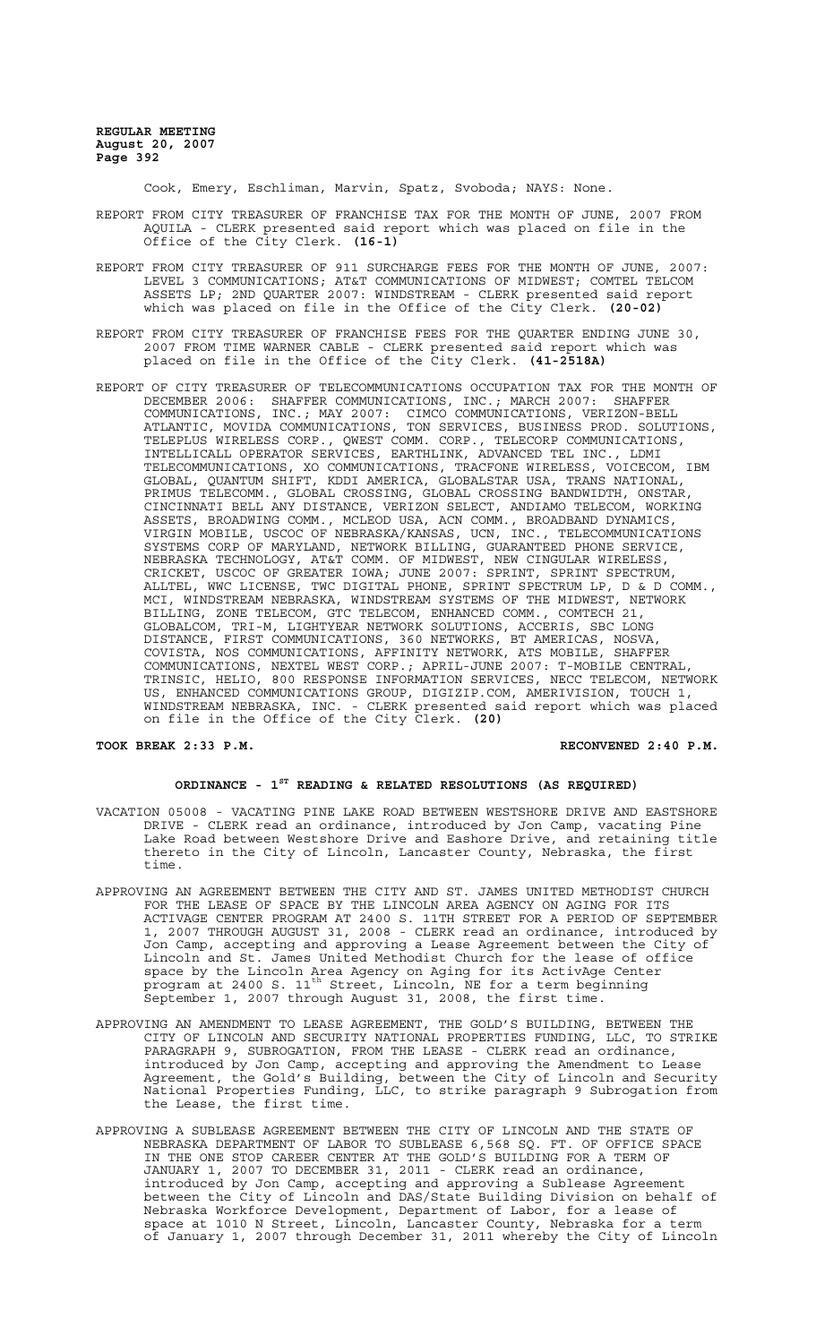Cook, Emery, Eschliman, Marvin, Spatz, Svoboda; NAYS: None.

- REPORT FROM CITY TREASURER OF FRANCHISE TAX FOR THE MONTH OF JUNE, 2007 FROM AQUILA - CLERK presented said report which was placed on file in the Office of the City Clerk. **(16-1)**
- REPORT FROM CITY TREASURER OF 911 SURCHARGE FEES FOR THE MONTH OF JUNE, 2007: LEVEL 3 COMMUNICATIONS; AT&T COMMUNICATIONS OF MIDWEST; COMTEL TELCOM ASSETS LP; 2ND QUARTER 2007: WINDSTREAM - CLERK presented said report which was placed on file in the Office of the City Clerk. **(20-02)**
- REPORT FROM CITY TREASURER OF FRANCHISE FEES FOR THE QUARTER ENDING JUNE 30, 2007 FROM TIME WARNER CABLE - CLERK presented said report which was placed on file in the Office of the City Clerk. **(41-2518A)**
- REPORT OF CITY TREASURER OF TELECOMMUNICATIONS OCCUPATION TAX FOR THE MONTH OF DECEMBER 2006: SHAFFER COMMUNICATIONS, INC.; MARCH 2007: SHAFFER COMMUNICATIONS, INC.; MAY 2007: CIMCO COMMUNICATIONS, VERIZON-BELL ATLANTIC, MOVIDA COMMUNICATIONS, TON SERVICES, BUSINESS PROD. SOLUTIONS, TELEPLUS WIRELESS CORP., QWEST COMM. CORP., TELECORP COMMUNICATIONS, INTELLICALL OPERATOR SERVICES, EARTHLINK, ADVANCED TEL INC., LDMI TELECOMMUNICATIONS, XO COMMUNICATIONS, TRACFONE WIRELESS, VOICECOM, IBM GLOBAL, QUANTUM SHIFT, KDDI AMERICA, GLOBALSTAR USA, TRANS NATIONAL, PRIMUS TELECOMM., GLOBAL CROSSING, GLOBAL CROSSING BANDWIDTH, ONSTAR, CINCINNATI BELL ANY DISTANCE, VERIZON SELECT, ANDIAMO TELECOM, WORKING ASSETS, BROADWING COMM., MCLEOD USA, ACN COMM., BROADBAND DYNAMICS, VIRGIN MOBILE, USCOC OF NEBRASKA/KANSAS, UCN, INC., TELECOMMUNICATIONS SYSTEMS CORP OF MARYLAND, NETWORK BILLING, GUARANTEED PHONE SERVICE, NEBRASKA TECHNOLOGY, AT&T COMM. OF MIDWEST, NEW CINGULAR WIRELESS, CRICKET, USCOC OF GREATER IOWA; JUNE 2007: SPRINT, SPRINT SPECTRUM, ALLTEL, WWC LICENSE, TWC DIGITAL PHONE, SPRINT SPECTRUM LP, D & D COMM., MCI, WINDSTREAM NEBRASKA, WINDSTREAM SYSTEMS OF THE MIDWEST, NETWORK BILLING, ZONE TELECOM, GTC TELECOM, ENHANCED COMM., COMTECH 21, GLOBALCOM, TRI-M, LIGHTYEAR NETWORK SOLUTIONS, ACCERIS, SBC LONG DISTANCE, FIRST COMMUNICATIONS, 360 NETWORKS, BT AMERICAS, NOSVA, COVISTA, NOS COMMUNICATIONS, AFFINITY NETWORK, ATS MOBILE, SHAFFER COMMUNICATIONS, NEXTEL WEST CORP.; APRIL-JUNE 2007: T-MOBILE CENTRAL, TRINSIC, HELIO, 800 RESPONSE INFORMATION SERVICES, NECC TELECOM, NETWORK US, ENHANCED COMMUNICATIONS GROUP, DIGIZIP.COM, AMERIVISION, TOUCH 1, WINDSTREAM NEBRASKA, INC. - CLERK presented said report which was placed on file in the Office of the City Clerk. **(20)**

**TOOK BREAK 2:33 P.M. RECONVENED 2:40 P.M.**

### **ORDINANCE - 1ST READING & RELATED RESOLUTIONS (AS REQUIRED)**

- VACATION 05008 VACATING PINE LAKE ROAD BETWEEN WESTSHORE DRIVE AND EASTSHORE DRIVE - CLERK read an ordinance, introduced by Jon Camp, vacating Pine Lake Road between Westshore Drive and Eashore Drive, and retaining title thereto in the City of Lincoln, Lancaster County, Nebraska, the first time.
- APPROVING AN AGREEMENT BETWEEN THE CITY AND ST. JAMES UNITED METHODIST CHURCH FOR THE LEASE OF SPACE BY THE LINCOLN AREA AGENCY ON AGING FOR ITS ACTIVAGE CENTER PROGRAM AT 2400 S. 11TH STREET FOR A PERIOD OF SEPTEMBER 1, 2007 THROUGH AUGUST 31, 2008 - CLERK read an ordinance, introduced by Jon Camp, accepting and approving a Lease Agreement between the City of Lincoln and St. James United Methodist Church for the lease of office space by the Lincoln Area Agency on Aging for its ActivAge Center program at 2400 S. 11th Street, Lincoln, NE for a term beginning September 1, 2007 through August 31, 2008, the first time.
- APPROVING AN AMENDMENT TO LEASE AGREEMENT, THE GOLD'S BUILDING, BETWEEN THE CITY OF LINCOLN AND SECURITY NATIONAL PROPERTIES FUNDING, LLC, TO STRIKE PARAGRAPH 9, SUBROGATION, FROM THE LEASE - CLERK read an ordinance, introduced by Jon Camp, accepting and approving the Amendment to Lease Agreement, the Gold's Building, between the City of Lincoln and Security National Properties Funding, LLC, to strike paragraph 9 Subrogation from the Lease, the first time.
- APPROVING A SUBLEASE AGREEMENT BETWEEN THE CITY OF LINCOLN AND THE STATE OF NEBRASKA DEPARTMENT OF LABOR TO SUBLEASE 6,568 SQ. FT. OF OFFICE SPACE IN THE ONE STOP CAREER CENTER AT THE GOLD'S BUILDING FOR A TERM OF JANUARY 1, 2007 TO DECEMBER 31, 2011 - CLERK read an ordinance, introduced by Jon Camp, accepting and approving a Sublease Agreement between the City of Lincoln and DAS/State Building Division on behalf of Nebraska Workforce Development, Department of Labor, for a lease of space at 1010 N Street, Lincoln, Lancaster County, Nebraska for a term of January 1, 2007 through December 31, 2011 whereby the City of Lincoln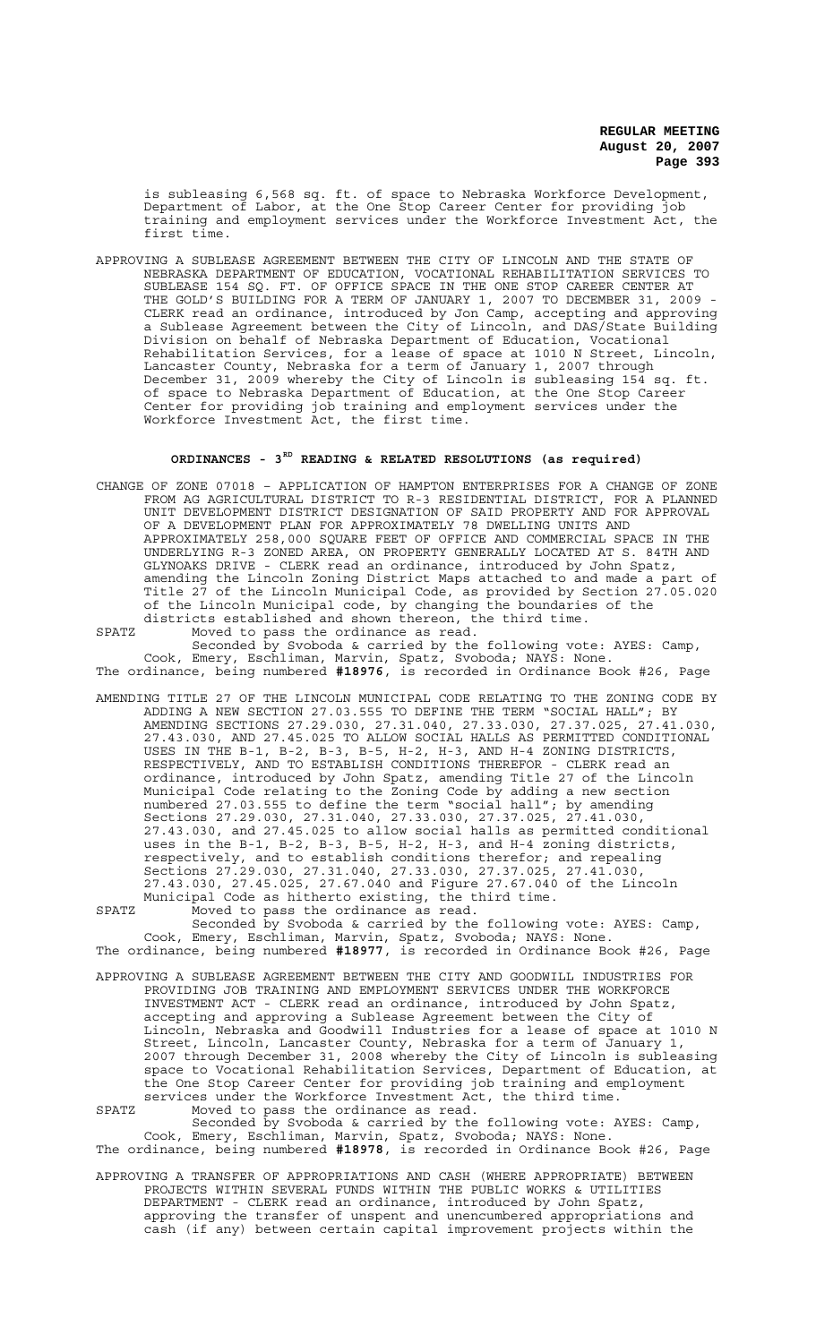is subleasing 6,568 sq. ft. of space to Nebraska Workforce Development, Department of Labor, at the One Stop Career Center for providing job training and employment services under the Workforce Investment Act, the first time.

APPROVING A SUBLEASE AGREEMENT BETWEEN THE CITY OF LINCOLN AND THE STATE OF NEBRASKA DEPARTMENT OF EDUCATION, VOCATIONAL REHABILITATION SERVICES TO SUBLEASE 154 SQ. FT. OF OFFICE SPACE IN THE ONE STOP CAREER CENTER AT THE GOLD'S BUILDING FOR A TERM OF JANUARY 1, 2007 TO DECEMBER 31, 2009 - CLERK read an ordinance, introduced by Jon Camp, accepting and approving a Sublease Agreement between the City of Lincoln, and DAS/State Building Division on behalf of Nebraska Department of Education, Vocational Rehabilitation Services, for a lease of space at 1010 N Street, Lincoln, Lancaster County, Nebraska for a term of January 1, 2007 through December 31, 2009 whereby the City of Lincoln is subleasing 154 sq. ft. of space to Nebraska Department of Education, at the One Stop Career Center for providing job training and employment services under the Workforce Investment Act, the first time.

# **ORDINANCES - 3RD READING & RELATED RESOLUTIONS (as required)**

CHANGE OF ZONE 07018 – APPLICATION OF HAMPTON ENTERPRISES FOR A CHANGE OF ZONE FROM AG AGRICULTURAL DISTRICT TO R-3 RESIDENTIAL DISTRICT, FOR A PLANNED UNIT DEVELOPMENT DISTRICT DESIGNATION OF SAID PROPERTY AND FOR APPROVAL OF A DEVELOPMENT PLAN FOR APPROXIMATELY 78 DWELLING UNITS AND APPROXIMATELY 258,000 SQUARE FEET OF OFFICE AND COMMERCIAL SPACE IN THE UNDERLYING R-3 ZONED AREA, ON PROPERTY GENERALLY LOCATED AT S. 84TH AND GLYNOAKS DRIVE - CLERK read an ordinance, introduced by John Spatz, amending the Lincoln Zoning District Maps attached to and made a part of Title 27 of the Lincoln Municipal Code, as provided by Section 27.05.020 of the Lincoln Municipal code, by changing the boundaries of the districts established and shown thereon, the third time. SPATZ Moved to pass the ordinance as read.

Seconded by Svoboda & carried by the following vote: AYES: Camp, Cook, Emery, Eschliman, Marvin, Spatz, Svoboda; NAYS: None. The ordinance, being numbered **#18976**, is recorded in Ordinance Book #26, Page

AMENDING TITLE 27 OF THE LINCOLN MUNICIPAL CODE RELATING TO THE ZONING CODE BY ADDING A NEW SECTION 27.03.555 TO DEFINE THE TERM "SOCIAL HALL"; BY AMENDING SECTIONS 27.29.030, 27.31.040, 27.33.030, 27.37.025, 27.41.030, 27.43.030, AND 27.45.025 TO ALLOW SOCIAL HALLS AS PERMITTED CONDITIONAL USES IN THE B-1, B-2, B-3, B-5, H-2, H-3, AND H-4 ZONING DISTRICTS, RESPECTIVELY, AND TO ESTABLISH CONDITIONS THEREFOR - CLERK read an ordinance, introduced by John Spatz, amending Title 27 of the Lincoln Municipal Code relating to the Zoning Code by adding a new section numbered 27.03.555 to define the term "social hall"; by amending Sections 27.29.030, 27.31.040, 27.33.030, 27.37.025, 27.41.030, 27.43.030, and 27.45.025 to allow social halls as permitted conditional uses in the B-1, B-2, B-3, B-5, H-2, H-3, and H-4 zoning districts, respectively, and to establish conditions therefor; and repealing Sections 27.29.030, 27.31.040, 27.33.030, 27.37.025, 27.41.030, 27.43.030, 27.45.025, 27.67.040 and Figure 27.67.040 of the Lincoln Municipal Code as hitherto existing, the third time.

SPATZ Moved to pass the ordinance as read. Seconded by Svoboda & carried by the following vote: AYES: Camp, Cook, Emery, Eschliman, Marvin, Spatz, Svoboda; NAYS: None. The ordinance, being numbered **#18977**, is recorded in Ordinance Book #26, Page

- APPROVING A SUBLEASE AGREEMENT BETWEEN THE CITY AND GOODWILL INDUSTRIES FOR PROVIDING JOB TRAINING AND EMPLOYMENT SERVICES UNDER THE WORKFORCE INVESTMENT ACT - CLERK read an ordinance, introduced by John Spatz, accepting and approving a Sublease Agreement between the City of Lincoln, Nebraska and Goodwill Industries for a lease of space at 1010 N Street, Lincoln, Lancaster County, Nebraska for a term of January 1, 2007 through December 31, 2008 whereby the City of Lincoln is subleasing space to Vocational Rehabilitation Services, Department of Education, at the One Stop Career Center for providing job training and employment services under the Workforce Investment Act, the third time.
- SPATZ Moved to pass the ordinance as read. Seconded by Svoboda & carried by the following vote: AYES: Camp,

Cook, Emery, Eschliman, Marvin, Spatz, Svoboda; NAYS: None. The ordinance, being numbered **#18978**, is recorded in Ordinance Book #26, Page

APPROVING A TRANSFER OF APPROPRIATIONS AND CASH (WHERE APPROPRIATE) BETWEEN PROJECTS WITHIN SEVERAL FUNDS WITHIN THE PUBLIC WORKS & UTILITIES DEPARTMENT - CLERK read an ordinance, introduced by John Spatz, approving the transfer of unspent and unencumbered appropriations and cash (if any) between certain capital improvement projects within the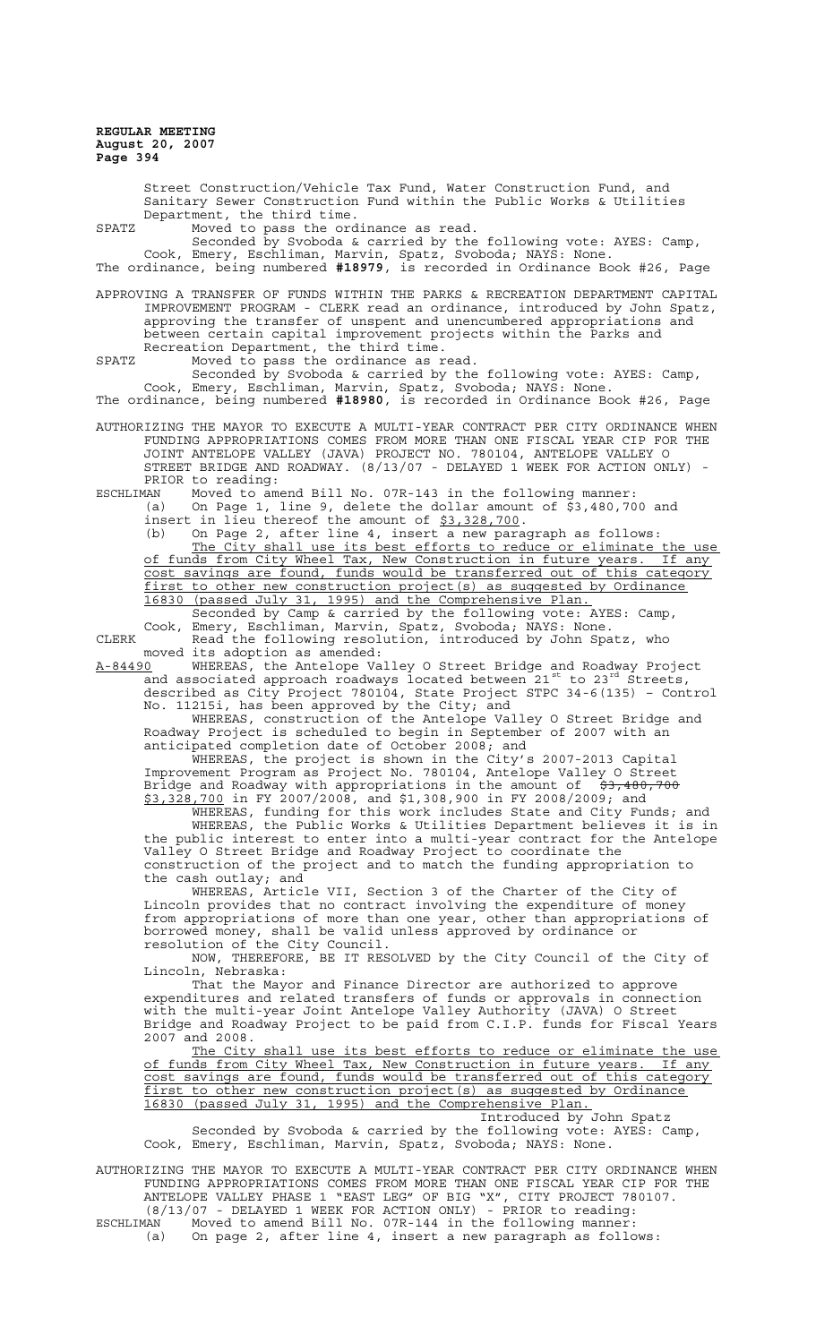Street Construction/Vehicle Tax Fund, Water Construction Fund, and Sanitary Sewer Construction Fund within the Public Works & Utilities Department, the third time. SPATZ Moved to pass the ordinance as read. Seconded by Svoboda & carried by the following vote: AYES: Camp, Cook, Emery, Eschliman, Marvin, Spatz, Svoboda; NAYS: None. The ordinance, being numbered **#18979**, is recorded in Ordinance Book #26, Page APPROVING A TRANSFER OF FUNDS WITHIN THE PARKS & RECREATION DEPARTMENT CAPITAL IMPROVEMENT PROGRAM - CLERK read an ordinance, introduced by John Spatz, approving the transfer of unspent and unencumbered appropriations and between certain capital improvement projects within the Parks and Recreation Department, the third time. SPATZ Moved to pass the ordinance as read. Seconded by Svoboda & carried by the following vote: AYES: Camp, Cook, Emery, Eschliman, Marvin, Spatz, Svoboda; NAYS: None. The ordinance, being numbered **#18980**, is recorded in Ordinance Book #26, Page AUTHORIZING THE MAYOR TO EXECUTE A MULTI-YEAR CONTRACT PER CITY ORDINANCE WHEN FUNDING APPROPRIATIONS COMES FROM MORE THAN ONE FISCAL YEAR CIP FOR THE JOINT ANTELOPE VALLEY (JAVA) PROJECT NO. 780104, ANTELOPE VALLEY O STREET BRIDGE AND ROADWAY. (8/13/07 - DELAYED 1 WEEK FOR ACTION ONLY) - PRIOR to reading:<br>ESCHLIMAN Moved to am Moved to amend Bill No. 07R-143 in the following manner: (a) On Page 1, line 9, delete the dollar amount of \$3,480,700 and insert in lieu thereof the amount of \$3,328,700. (b) On Page 2, after line 4, insert a new paragraph as follows: The City shall use its best efforts to reduce or eliminate the use of funds from City Wheel Tax, New Construction in future years. If any cost savings are found, funds would be transferred out of this category first to other new construction project(s) as suqqested by Ordinance<br>16830 (passed July 31, 1995) and the Comprehensive Plan. 31, 1995) and the Comprehensive Plan. Seconded by Camp & carried by the following vote: AYES: Camp, Cook, Emery, Eschliman, Marvin, Spatz, Svoboda; NAYS: None. CLERK Read the following resolution, introduced by John Spatz, who moved its adoption as amended:<br>A-84490 WHEREAS, the Antelope Va A-84490 WHEREAS, the Antelope Valley O Street Bridge and Roadway Project and associated approach roadways located between 21st to 23rd Streets, described as City Project 780104, State Project STPC 34-6(135) – Control No. 11215i, has been approved by the City; and WHEREAS, construction of the Antelope Valley O Street Bridge and Roadway Project is scheduled to begin in September of 2007 with an anticipated completion date of October 2008; and WHEREAS, the project is shown in the City's 2007-2013 Capital Improvement Program as Project No. 780104, Antelope Valley O Street Bridge and Roadway with appropriations in the amount of \$3,480,700 \$3,328,700 in FY 2007/2008, and \$1,308,900 in FY 2008/2009; and WHEREAS, funding for this work includes State and City Funds; and WHEREAS, the Public Works & Utilities Department believes it is in the public interest to enter into a multi-year contract for the Antelope Valley O Street Bridge and Roadway Project to coordinate the construction of the project and to match the funding appropriation to the cash outlay; and WHEREAS, Article VII, Section 3 of the Charter of the City of Lincoln provides that no contract involving the expenditure of money from appropriations of more than one year, other than appropriations of borrowed money, shall be valid unless approved by ordinance or resolution of the City Council. NOW, THEREFORE, BE IT RESOLVED by the City Council of the City of Lincoln, Nebraska: That the Mayor and Finance Director are authorized to approve expenditures and related transfers of funds or approvals in connection with the multi-year Joint Antelope Valley Authority (JAVA) O Street Bridge and Roadway Project to be paid from C.I.P. funds for Fiscal Years 2007 and 2008. The City shall use its best efforts to reduce or eliminate the use of funds from City Wheel Tax, New Construction in future years. If any cost savings are found, funds would be transferred out of this category first to other new construction project(s) as suggested by Ordinance 16830 (passed July 31, 1995) and the Comprehensive Plan. Introduced by John Spatz Seconded by Svoboda & carried by the following vote: AYES: Camp, Cook, Emery, Eschliman, Marvin, Spatz, Svoboda; NAYS: None. AUTHORIZING THE MAYOR TO EXECUTE A MULTI-YEAR CONTRACT PER CITY ORDINANCE WHEN

FUNDING APPROPRIATIONS COMES FROM MORE THAN ONE FISCAL YEAR CIP FOR THE ANTELOPE VALLEY PHASE 1 "EAST LEG" OF BIG "X", CITY PROJECT 780107. (8/13/07 - DELAYED 1 WEEK FOR ACTION ONLY) - PRIOR to reading:

ESCHLIMAN Moved to amend Bill No. 07R-144 in the following manner: (a) On page 2, after line 4, insert a new paragraph as follows: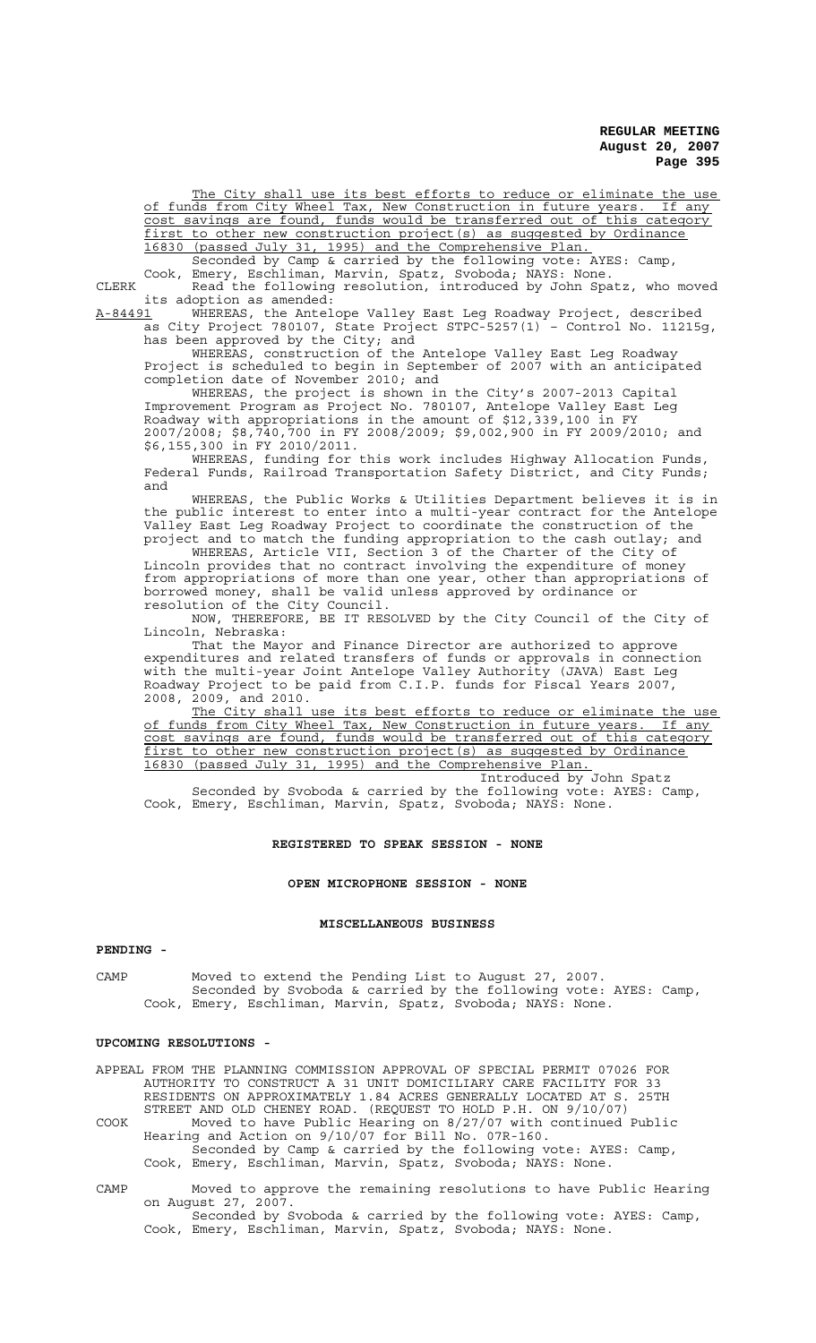The City shall use its best efforts to reduce or eliminate the use of funds from City Wheel Tax, New Construction in future years. If any cost savings are found, funds would be transferred out of this category first to other new construction project(s) as suggested by Ordinance 16830 (passed July 31, 1995) and the Comprehensive Plan.

Seconded by Camp & carried by the following vote: AYES: Camp, Cook, Emery, Eschliman, Marvin, Spatz, Svoboda; NAYS: None.

CLERK Read the following resolution, introduced by John Spatz, who moved its adoption as amended:

A-84491 MHEREAS, the Antelope Valley East Leg Roadway Project, described as City Project 780107, State Project STPC-5257(1) – Control No. 11215g, has been approved by the City; and

WHEREAS, construction of the Antelope Valley East Leg Roadway Project is scheduled to begin in September of 2007 with an anticipated completion date of November 2010; and

WHEREAS, the project is shown in the City's 2007-2013 Capital Improvement Program as Project No. 780107, Antelope Valley East Leg Roadway with appropriations in the amount of \$12,339,100 in FY 2007/2008; \$8,740,700 in FY 2008/2009; \$9,002,900 in FY 2009/2010; and \$6,155,300 in FY 2010/2011.

WHEREAS, funding for this work includes Highway Allocation Funds, Federal Funds, Railroad Transportation Safety District, and City Funds; and

WHEREAS, the Public Works & Utilities Department believes it is in the public interest to enter into a multi-year contract for the Antelope Valley East Leg Roadway Project to coordinate the construction of the project and to match the funding appropriation to the cash outlay; and

WHEREAS, Article VII, Section 3 of the Charter of the City of Lincoln provides that no contract involving the expenditure of money from appropriations of more than one year, other than appropriations of borrowed money, shall be valid unless approved by ordinance or resolution of the City Council.

NOW, THEREFORE, BE IT RESOLVED by the City Council of the City of Lincoln, Nebraska:

That the Mayor and Finance Director are authorized to approve expenditures and related transfers of funds or approvals in connection with the multi-year Joint Antelope Valley Authority (JAVA) East Leg Roadway Project to be paid from C.I.P. funds for Fiscal Years 2007, 2008, 2009, and 2010.

The City shall use its best efforts to reduce or eliminate the use of funds from City Wheel Tax, New Construction in future years. If any cost savings are found, funds would be transferred out of this category first to other new construction project(s) as suggested by Ordinance 16830 (passed July 31, 1995) and the Comprehensive Plan.

Introduced by Seconded by Svoboda & carried by the following vote: AYES: Camp, Cook, Emery, Eschliman, Marvin, Spatz, Svoboda; NAYS: None.

## **REGISTERED TO SPEAK SESSION - NONE**

#### **OPEN MICROPHONE SESSION - NONE**

### **MISCELLANEOUS BUSINESS**

## **PENDING -**

CAMP Moved to extend the Pending List to August 27, 2007. Seconded by Svoboda & carried by the following vote: AYES: Camp, Cook, Emery, Eschliman, Marvin, Spatz, Svoboda; NAYS: None.

### **UPCOMING RESOLUTIONS -**

APPEAL FROM THE PLANNING COMMISSION APPROVAL OF SPECIAL PERMIT 07026 FOR AUTHORITY TO CONSTRUCT A 31 UNIT DOMICILIARY CARE FACILITY FOR 33 RESIDENTS ON APPROXIMATELY 1.84 ACRES GENERALLY LOCATED AT S. 25TH STREET AND OLD CHENEY ROAD. (REQUEST TO HOLD P.H. ON 9/10/07) COOK Moved to have Public Hearing on 8/27/07 with continued Public Hearing and Action on 9/10/07 for Bill No. 07R-160. Seconded by Camp & carried by the following vote: AYES: Camp, Cook, Emery, Eschliman, Marvin, Spatz, Svoboda; NAYS: None.

CAMP Moved to approve the remaining resolutions to have Public Hearing on August 27, 2007. Seconded by Svoboda & carried by the following vote: AYES: Camp, Cook, Emery, Eschliman, Marvin, Spatz, Svoboda; NAYS: None.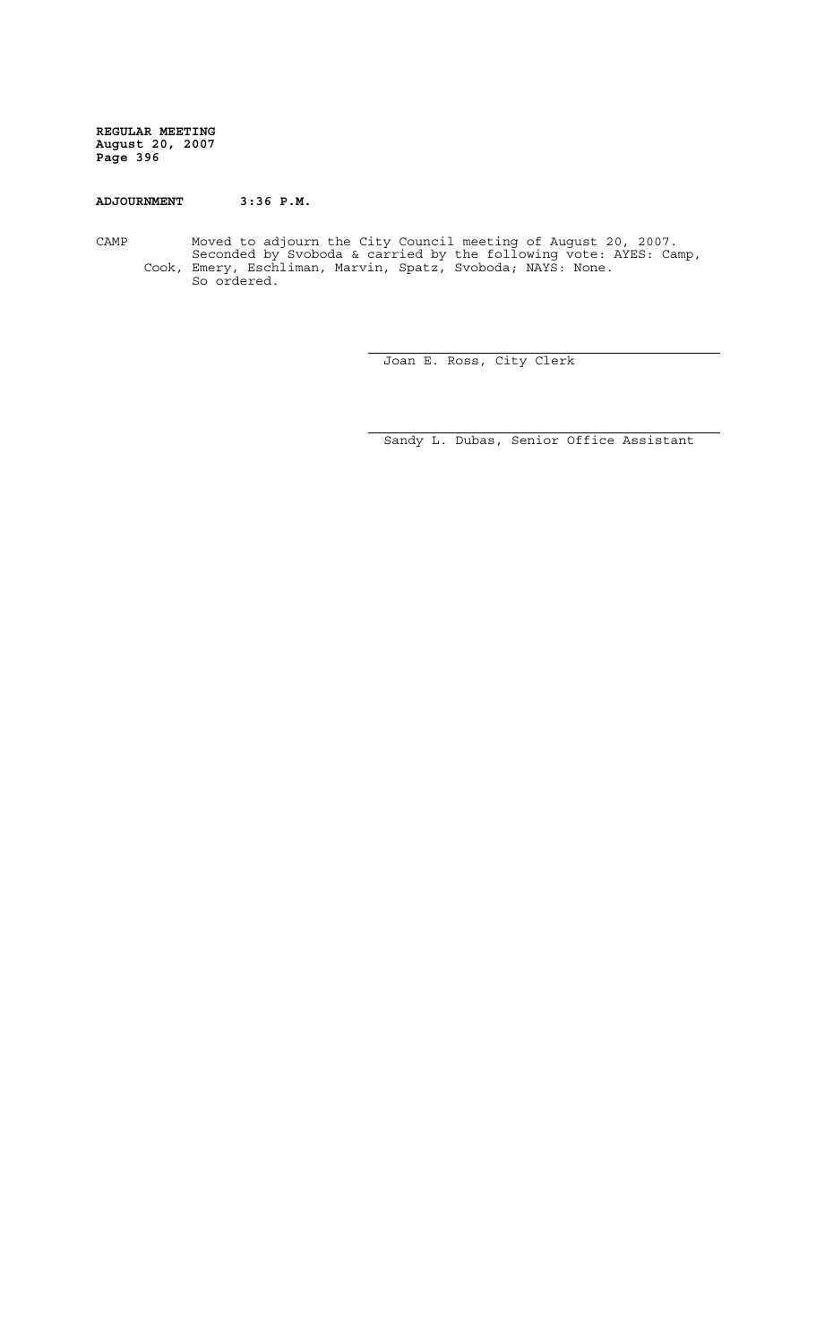## **ADJOURNMENT 3:36 P.M.**

CAMP Moved to adjourn the City Council meeting of August 20, 2007. Seconded by Svoboda & carried by the following vote: AYES: Camp, Cook, Emery, Eschliman, Marvin, Spatz, Svoboda; NAYS: None. So ordered.

Joan E. Ross, City Clerk

Sandy L. Dubas, Senior Office Assistant